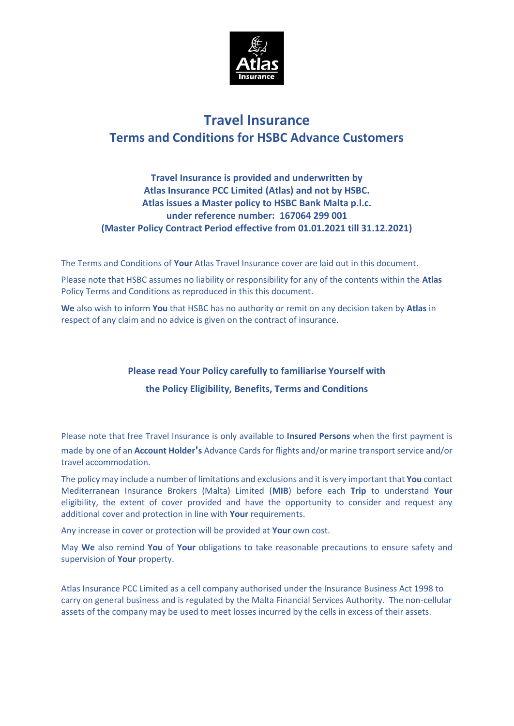

# **Travel Insurance Terms and Conditions for HSBC Advance Customers**

## **Travel Insurance is provided and underwritten by Atlas Insurance PCC Limited (Atlas) and not by HSBC. Atlas issues a Master policy to HSBC Bank Malta p.l.c. under reference number: 167064 299 001 (Master Policy Contract Period effective from 01.01.2021 till 31.12.2021)**

The Terms and Conditions of **Your** Atlas Travel Insurance cover are laid out in this document.

Please note that HSBC assumes no liability or responsibility for any of the contents within the **Atlas**  Policy Terms and Conditions as reproduced in this this document.

**We** also wish to inform **You** that HSBC has no authority or remit on any decision taken by **Atlas** in respect of any claim and no advice is given on the contract of insurance.

# **Please read Your Policy carefully to familiarise Yourself with the Policy Eligibility, Benefits, Terms and Conditions**

Please note that free Travel Insurance is only available to **Insured Persons** when the first payment is made by one of an **Account Holder**'**s** Advance Cards for flights and/or marine transport service and/or travel accommodation.

The policy may include a number of limitations and exclusions and it is very important that **You** contact Mediterranean Insurance Brokers (Malta) Limited (**MIB**) before each **Trip** to understand **Your**  eligibility, the extent of cover provided and have the opportunity to consider and request any additional cover and protection in line with **Your** requirements.

Any increase in cover or protection will be provided at **Your** own cost.

May **We** also remind **You** of **Your** obligations to take reasonable precautions to ensure safety and supervision of **Your** property.

Atlas Insurance PCC Limited as a cell company authorised under the Insurance Business Act 1998 to carry on general business and is regulated by the Malta Financial Services Authority. The non-cellular assets of the company may be used to meet losses incurred by the cells in excess of their assets.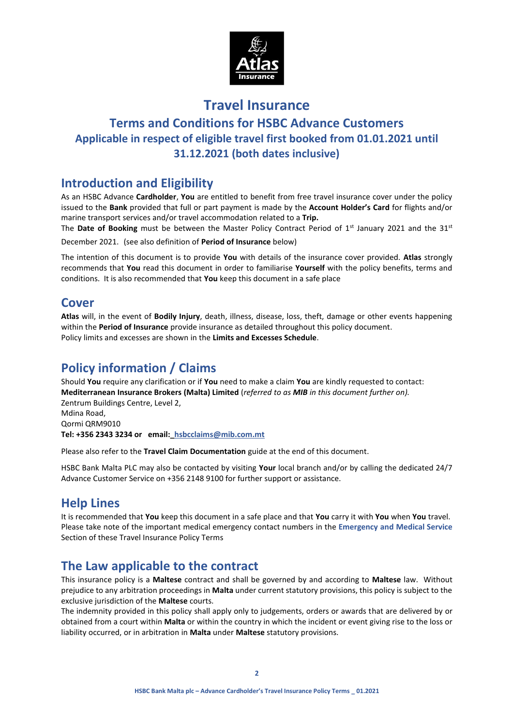

# **Travel Insurance Terms and Conditions for HSBC Advance Customers Applicable in respect of eligible travel first booked from 01.01.2021 until 31.12.2021 (both dates inclusive)**

# **Introduction and Eligibility**

As an HSBC Advance **Cardholder**, **You** are entitled to benefit from free travel insurance cover under the policy issued to the **Bank** provided that full or part payment is made by the **Account Holder's Card** for flights and/or marine transport services and/or travel accommodation related to a **Trip.**

The **Date of Booking** must be between the Master Policy Contract Period of 1<sup>st</sup> January 2021 and the 31<sup>st</sup> December 2021. (see also definition of **Period of Insurance** below)

The intention of this document is to provide **You** with details of the insurance cover provided. **Atlas** strongly recommends that **You** read this document in order to familiarise **Yourself** with the policy benefits, terms and conditions. It is also recommended that **You** keep this document in a safe place

# **Cover**

**Atlas** will, in the event of **Bodily Injury**, death, illness, disease, loss, theft, damage or other events happening within the **Period of Insurance** provide insurance as detailed throughout this policy document. Policy limits and excesses are shown in the **Limits and Excesses Schedule**.

# **Policy information / Claims**

Should **You** require any clarification or if **You** need to make a claim **You** are kindly requested to contact: **Mediterranean Insurance Brokers (Malta) Limited** (*referred to as MIB in this document further on).* Zentrum Buildings Centre, Level 2,

Mdina Road, Qormi QRM9010 **Tel: +356 2343 3234 or email:\_hsbcclaims@mib.com.mt**

Please also refer to the **Travel Claim Documentation** guide at the end of this document.

HSBC Bank Malta PLC may also be contacted by visiting **Your** local branch and/or by calling the dedicated 24/7 Advance Customer Service on +356 2148 9100 for further support or assistance.

# **Help Lines**

It is recommended that **You** keep this document in a safe place and that **You** carry it with **You** when **You** travel. Please take note of the important medical emergency contact numbers in the **Emergency and Medical Service** Section of these Travel Insurance Policy Terms

# **The Law applicable to the contract**

This insurance policy is a **Maltese** contract and shall be governed by and according to **Maltese** law. Without prejudice to any arbitration proceedings in **Malta** under current statutory provisions, this policy is subject to the exclusive jurisdiction of the **Maltese** courts.

The indemnity provided in this policy shall apply only to judgements, orders or awards that are delivered by or obtained from a court within **Malta** or within the country in which the incident or event giving rise to the loss or liability occurred, or in arbitration in **Malta** under **Maltese** statutory provisions.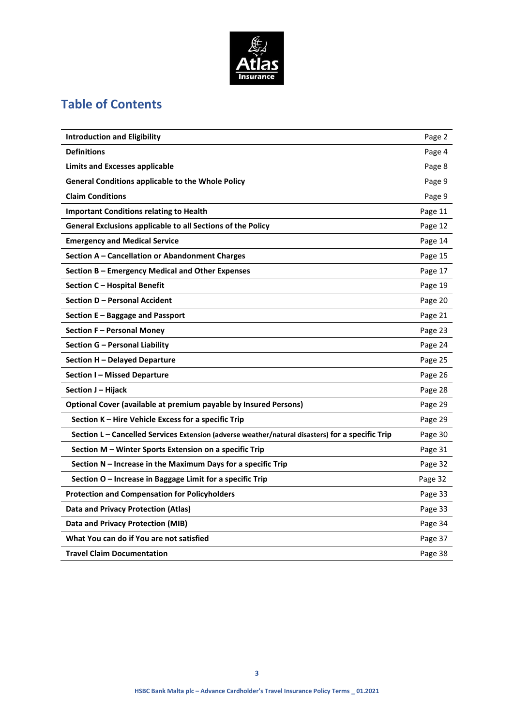

# **Table of Contents**

| <b>Introduction and Eligibility</b><br>Page 2<br><b>Definitions</b><br>Page 4<br><b>Limits and Excesses applicable</b><br>Page 8<br><b>General Conditions applicable to the Whole Policy</b><br>Page 9<br><b>Claim Conditions</b><br>Page 9<br><b>Important Conditions relating to Health</b><br>Page 11<br>General Exclusions applicable to all Sections of the Policy<br>Page 12<br><b>Emergency and Medical Service</b><br>Page 14<br>Section A - Cancellation or Abandonment Charges<br>Page 15<br>Section B - Emergency Medical and Other Expenses<br>Page 17<br>Section C - Hospital Benefit<br>Page 19<br>Section D - Personal Accident<br>Page 20<br>Section E – Baggage and Passport<br>Page 21<br>Section F - Personal Money<br>Page 23<br>Section G – Personal Liability<br>Page 24<br>Section H - Delayed Departure<br>Page 25<br><b>Section I-Missed Departure</b><br>Page 26<br>Section J – Hijack<br>Page 28<br>Optional Cover (available at premium payable by Insured Persons)<br>Page 29<br>Section K - Hire Vehicle Excess for a specific Trip<br>Page 29<br>Section L – Cancelled Services Extension (adverse weather/natural disasters) for a specific Trip<br>Page 30<br>Section M – Winter Sports Extension on a specific Trip<br>Page 31<br>Section N - Increase in the Maximum Days for a specific Trip<br>Page 32<br>Section O - Increase in Baggage Limit for a specific Trip<br>Page 32<br><b>Protection and Compensation for Policyholders</b><br>Page 33<br><b>Data and Privacy Protection (Atlas)</b><br>Page 33<br>Data and Privacy Protection (MIB)<br>Page 34<br>What You can do if You are not satisfied<br>Page 37<br><b>Travel Claim Documentation</b><br>Page 38 |  |
|--------------------------------------------------------------------------------------------------------------------------------------------------------------------------------------------------------------------------------------------------------------------------------------------------------------------------------------------------------------------------------------------------------------------------------------------------------------------------------------------------------------------------------------------------------------------------------------------------------------------------------------------------------------------------------------------------------------------------------------------------------------------------------------------------------------------------------------------------------------------------------------------------------------------------------------------------------------------------------------------------------------------------------------------------------------------------------------------------------------------------------------------------------------------------------------------------------------------------------------------------------------------------------------------------------------------------------------------------------------------------------------------------------------------------------------------------------------------------------------------------------------------------------------------------------------------------------------------------------------------------------------------------------------------------------------------------------|--|
|                                                                                                                                                                                                                                                                                                                                                                                                                                                                                                                                                                                                                                                                                                                                                                                                                                                                                                                                                                                                                                                                                                                                                                                                                                                                                                                                                                                                                                                                                                                                                                                                                                                                                                        |  |
|                                                                                                                                                                                                                                                                                                                                                                                                                                                                                                                                                                                                                                                                                                                                                                                                                                                                                                                                                                                                                                                                                                                                                                                                                                                                                                                                                                                                                                                                                                                                                                                                                                                                                                        |  |
|                                                                                                                                                                                                                                                                                                                                                                                                                                                                                                                                                                                                                                                                                                                                                                                                                                                                                                                                                                                                                                                                                                                                                                                                                                                                                                                                                                                                                                                                                                                                                                                                                                                                                                        |  |
|                                                                                                                                                                                                                                                                                                                                                                                                                                                                                                                                                                                                                                                                                                                                                                                                                                                                                                                                                                                                                                                                                                                                                                                                                                                                                                                                                                                                                                                                                                                                                                                                                                                                                                        |  |
|                                                                                                                                                                                                                                                                                                                                                                                                                                                                                                                                                                                                                                                                                                                                                                                                                                                                                                                                                                                                                                                                                                                                                                                                                                                                                                                                                                                                                                                                                                                                                                                                                                                                                                        |  |
|                                                                                                                                                                                                                                                                                                                                                                                                                                                                                                                                                                                                                                                                                                                                                                                                                                                                                                                                                                                                                                                                                                                                                                                                                                                                                                                                                                                                                                                                                                                                                                                                                                                                                                        |  |
|                                                                                                                                                                                                                                                                                                                                                                                                                                                                                                                                                                                                                                                                                                                                                                                                                                                                                                                                                                                                                                                                                                                                                                                                                                                                                                                                                                                                                                                                                                                                                                                                                                                                                                        |  |
|                                                                                                                                                                                                                                                                                                                                                                                                                                                                                                                                                                                                                                                                                                                                                                                                                                                                                                                                                                                                                                                                                                                                                                                                                                                                                                                                                                                                                                                                                                                                                                                                                                                                                                        |  |
|                                                                                                                                                                                                                                                                                                                                                                                                                                                                                                                                                                                                                                                                                                                                                                                                                                                                                                                                                                                                                                                                                                                                                                                                                                                                                                                                                                                                                                                                                                                                                                                                                                                                                                        |  |
|                                                                                                                                                                                                                                                                                                                                                                                                                                                                                                                                                                                                                                                                                                                                                                                                                                                                                                                                                                                                                                                                                                                                                                                                                                                                                                                                                                                                                                                                                                                                                                                                                                                                                                        |  |
|                                                                                                                                                                                                                                                                                                                                                                                                                                                                                                                                                                                                                                                                                                                                                                                                                                                                                                                                                                                                                                                                                                                                                                                                                                                                                                                                                                                                                                                                                                                                                                                                                                                                                                        |  |
|                                                                                                                                                                                                                                                                                                                                                                                                                                                                                                                                                                                                                                                                                                                                                                                                                                                                                                                                                                                                                                                                                                                                                                                                                                                                                                                                                                                                                                                                                                                                                                                                                                                                                                        |  |
|                                                                                                                                                                                                                                                                                                                                                                                                                                                                                                                                                                                                                                                                                                                                                                                                                                                                                                                                                                                                                                                                                                                                                                                                                                                                                                                                                                                                                                                                                                                                                                                                                                                                                                        |  |
|                                                                                                                                                                                                                                                                                                                                                                                                                                                                                                                                                                                                                                                                                                                                                                                                                                                                                                                                                                                                                                                                                                                                                                                                                                                                                                                                                                                                                                                                                                                                                                                                                                                                                                        |  |
|                                                                                                                                                                                                                                                                                                                                                                                                                                                                                                                                                                                                                                                                                                                                                                                                                                                                                                                                                                                                                                                                                                                                                                                                                                                                                                                                                                                                                                                                                                                                                                                                                                                                                                        |  |
|                                                                                                                                                                                                                                                                                                                                                                                                                                                                                                                                                                                                                                                                                                                                                                                                                                                                                                                                                                                                                                                                                                                                                                                                                                                                                                                                                                                                                                                                                                                                                                                                                                                                                                        |  |
|                                                                                                                                                                                                                                                                                                                                                                                                                                                                                                                                                                                                                                                                                                                                                                                                                                                                                                                                                                                                                                                                                                                                                                                                                                                                                                                                                                                                                                                                                                                                                                                                                                                                                                        |  |
|                                                                                                                                                                                                                                                                                                                                                                                                                                                                                                                                                                                                                                                                                                                                                                                                                                                                                                                                                                                                                                                                                                                                                                                                                                                                                                                                                                                                                                                                                                                                                                                                                                                                                                        |  |
|                                                                                                                                                                                                                                                                                                                                                                                                                                                                                                                                                                                                                                                                                                                                                                                                                                                                                                                                                                                                                                                                                                                                                                                                                                                                                                                                                                                                                                                                                                                                                                                                                                                                                                        |  |
|                                                                                                                                                                                                                                                                                                                                                                                                                                                                                                                                                                                                                                                                                                                                                                                                                                                                                                                                                                                                                                                                                                                                                                                                                                                                                                                                                                                                                                                                                                                                                                                                                                                                                                        |  |
|                                                                                                                                                                                                                                                                                                                                                                                                                                                                                                                                                                                                                                                                                                                                                                                                                                                                                                                                                                                                                                                                                                                                                                                                                                                                                                                                                                                                                                                                                                                                                                                                                                                                                                        |  |
|                                                                                                                                                                                                                                                                                                                                                                                                                                                                                                                                                                                                                                                                                                                                                                                                                                                                                                                                                                                                                                                                                                                                                                                                                                                                                                                                                                                                                                                                                                                                                                                                                                                                                                        |  |
|                                                                                                                                                                                                                                                                                                                                                                                                                                                                                                                                                                                                                                                                                                                                                                                                                                                                                                                                                                                                                                                                                                                                                                                                                                                                                                                                                                                                                                                                                                                                                                                                                                                                                                        |  |
|                                                                                                                                                                                                                                                                                                                                                                                                                                                                                                                                                                                                                                                                                                                                                                                                                                                                                                                                                                                                                                                                                                                                                                                                                                                                                                                                                                                                                                                                                                                                                                                                                                                                                                        |  |
|                                                                                                                                                                                                                                                                                                                                                                                                                                                                                                                                                                                                                                                                                                                                                                                                                                                                                                                                                                                                                                                                                                                                                                                                                                                                                                                                                                                                                                                                                                                                                                                                                                                                                                        |  |
|                                                                                                                                                                                                                                                                                                                                                                                                                                                                                                                                                                                                                                                                                                                                                                                                                                                                                                                                                                                                                                                                                                                                                                                                                                                                                                                                                                                                                                                                                                                                                                                                                                                                                                        |  |
|                                                                                                                                                                                                                                                                                                                                                                                                                                                                                                                                                                                                                                                                                                                                                                                                                                                                                                                                                                                                                                                                                                                                                                                                                                                                                                                                                                                                                                                                                                                                                                                                                                                                                                        |  |
|                                                                                                                                                                                                                                                                                                                                                                                                                                                                                                                                                                                                                                                                                                                                                                                                                                                                                                                                                                                                                                                                                                                                                                                                                                                                                                                                                                                                                                                                                                                                                                                                                                                                                                        |  |
|                                                                                                                                                                                                                                                                                                                                                                                                                                                                                                                                                                                                                                                                                                                                                                                                                                                                                                                                                                                                                                                                                                                                                                                                                                                                                                                                                                                                                                                                                                                                                                                                                                                                                                        |  |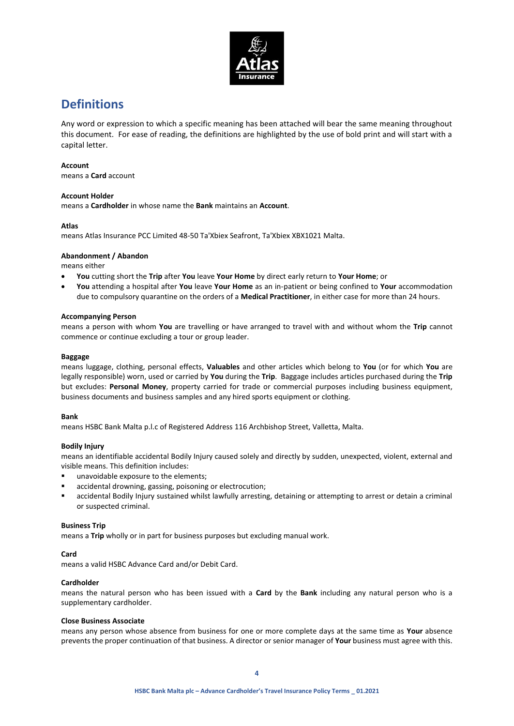

# **Definitions**

Any word or expression to which a specific meaning has been attached will bear the same meaning throughout this document. For ease of reading, the definitions are highlighted by the use of bold print and will start with a capital letter.

### **Account**

means a **Card** account

### **Account Holder**

means a **Cardholder** in whose name the **Bank** maintains an **Account**.

### **Atlas**

means Atlas Insurance PCC Limited 48-50 Ta'Xbiex Seafront, Ta'Xbiex XBX1021 Malta.

### **Abandonment / Abandon**

means either

- **You** cutting short the **Trip** after **You** leave **Your Home** by direct early return to **Your Home**; or
- **You** attending a hospital after **You** leave **Your Home** as an in-patient or being confined to **Your** accommodation due to compulsory quarantine on the orders of a **Medical Practitioner**, in either case for more than 24 hours.

### **Accompanying Person**

means a person with whom **You** are travelling or have arranged to travel with and without whom the **Trip** cannot commence or continue excluding a tour or group leader.

### **Baggage**

means luggage, clothing, personal effects, **Valuables** and other articles which belong to **You** (or for which **You** are legally responsible) worn, used or carried by **You** during the **Trip**. Baggage includes articles purchased during the **Trip** but excludes: **Personal Money**, property carried for trade or commercial purposes including business equipment, business documents and business samples and any hired sports equipment or clothing.

#### **Bank**

means HSBC Bank Malta p.l.c of Registered Address 116 Archbishop Street, Valletta, Malta.

### **Bodily Injury**

means an identifiable accidental Bodily Injury caused solely and directly by sudden, unexpected, violent, external and visible means. This definition includes:

- unavoidable exposure to the elements;
- accidental drowning, gassing, poisoning or electrocution;
- accidental Bodily Injury sustained whilst lawfully arresting, detaining or attempting to arrest or detain a criminal or suspected criminal.

### **Business Trip**

means a **Trip** wholly or in part for business purposes but excluding manual work.

### **Card**

means a valid HSBC Advance Card and/or Debit Card.

#### **Cardholder**

means the natural person who has been issued with a **Card** by the **Bank** including any natural person who is a supplementary cardholder.

#### **Close Business Associate**

means any person whose absence from business for one or more complete days at the same time as **Your** absence prevents the proper continuation of that business. A director or senior manager of **Your** business must agree with this.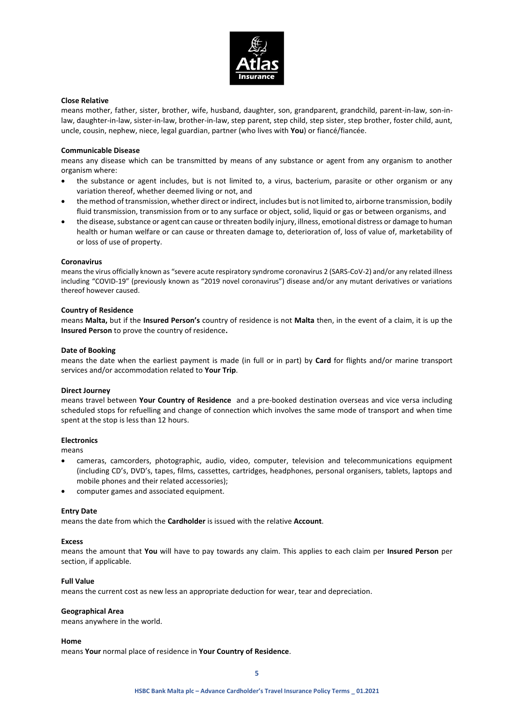

#### **Close Relative**

means mother, father, sister, brother, wife, husband, daughter, son, grandparent, grandchild, parent-in-law, son-inlaw, daughter-in-law, sister-in-law, brother-in-law, step parent, step child, step sister, step brother, foster child, aunt, uncle, cousin, nephew, niece, legal guardian, partner (who lives with **You**) or fiancé/fiancée.

#### **Communicable Disease**

means any disease which can be transmitted by means of any substance or agent from any organism to another organism where:

- the substance or agent includes, but is not limited to, a virus, bacterium, parasite or other organism or any variation thereof, whether deemed living or not, and
- the method of transmission, whether direct or indirect, includes but is not limited to, airborne transmission, bodily fluid transmission, transmission from or to any surface or object, solid, liquid or gas or between organisms, and
- the disease, substance or agent can cause or threaten bodily injury, illness, emotional distress or damage to human health or human welfare or can cause or threaten damage to, deterioration of, loss of value of, marketability of or loss of use of property.

#### **Coronavirus**

means the virus officially known as "severe acute respiratory syndrome coronavirus 2 (SARS-CoV-2) and/or any related illness including "COVID-19" (previously known as "2019 novel coronavirus") disease and/or any mutant derivatives or variations thereof however caused.

#### **Country of Residence**

means **Malta,** but if the **Insured Person's** country of residence is not **Malta** then, in the event of a claim, it is up the **Insured Person** to prove the country of residence**.**

#### **Date of Booking**

means the date when the earliest payment is made (in full or in part) by **Card** for flights and/or marine transport services and/or accommodation related to **Your Trip**.

#### **Direct Journey**

means travel between **Your Country of Residence** and a pre-booked destination overseas and vice versa including scheduled stops for refuelling and change of connection which involves the same mode of transport and when time spent at the stop is less than 12 hours.

#### **Electronics**

means

- cameras, camcorders, photographic, audio, video, computer, television and telecommunications equipment (including CD's, DVD's, tapes, films, cassettes, cartridges, headphones, personal organisers, tablets, laptops and mobile phones and their related accessories);
- computer games and associated equipment.

#### **Entry Date**

means the date from which the **Cardholder** is issued with the relative **Account**.

#### **Excess**

means the amount that **You** will have to pay towards any claim. This applies to each claim per **Insured Person** per section, if applicable.

#### **Full Value**

means the current cost as new less an appropriate deduction for wear, tear and depreciation.

#### **Geographical Area**

means anywhere in the world.

#### **Home**

means **Your** normal place of residence in **Your Country of Residence**.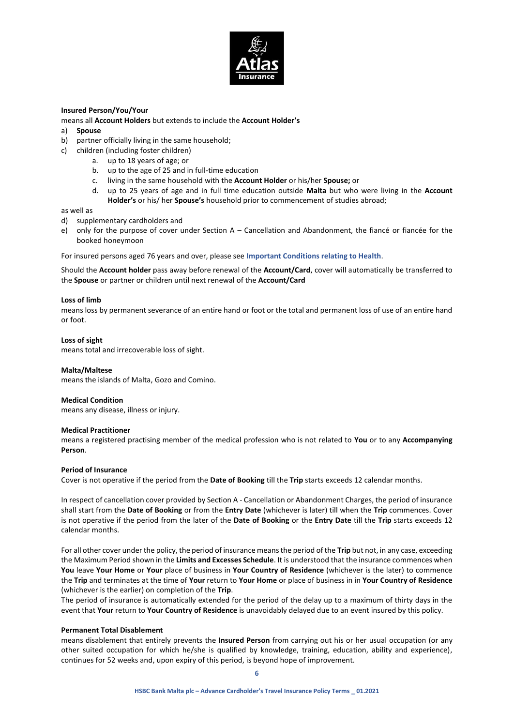

### **Insured Person/You/Your**

- means all **Account Holders** but extends to include the **Account Holder's**
- a) **Spouse**
- b) partner officially living in the same household;
- c) children (including foster children)
	- a. up to 18 years of age; or
		- b. up to the age of 25 and in full-time education
		- c. living in the same household with the **Account Holder** or his/her **Spouse;** or
		- d. up to 25 years of age and in full time education outside **Malta** but who were living in the **Account Holder's** or his/ her **Spouse's** household prior to commencement of studies abroad;

as well as

- d) supplementary cardholders and
- e) only for the purpose of cover under Section A Cancellation and Abandonment, the fiancé or fiancée for the booked honeymoon

For insured persons aged 76 years and over, please see **Important Conditions relating to Health**.

Should the **Account holder** pass away before renewal of the **Account/Card**, cover will automatically be transferred to the **Spouse** or partner or children until next renewal of the **Account/Card**

#### **Loss of limb**

means loss by permanent severance of an entire hand or foot or the total and permanent loss of use of an entire hand or foot.

#### **Loss of sight**

means total and irrecoverable loss of sight.

#### **Malta/Maltese**

means the islands of Malta, Gozo and Comino.

#### **Medical Condition**

means any disease, illness or injury.

#### **Medical Practitioner**

means a registered practising member of the medical profession who is not related to **You** or to any **Accompanying Person**.

#### **Period of Insurance**

Cover is not operative if the period from the **Date of Booking** till the **Trip** starts exceeds 12 calendar months.

In respect of cancellation cover provided by Section A - Cancellation or Abandonment Charges, the period of insurance shall start from the **Date of Booking** or from the **Entry Date** (whichever is later) till when the **Trip** commences. Cover is not operative if the period from the later of the **Date of Booking** or the **Entry Date** till the **Trip** starts exceeds 12 calendar months.

For all other cover under the policy, the period of insurance means the period of the **Trip** but not, in any case, exceeding the Maximum Period shown in the **Limits and Excesses Schedule**. It is understood that the insurance commences when **You** leave **Your Home** or **Your** place of business in **Your Country of Residence** (whichever is the later) to commence the **Trip** and terminates at the time of **Your** return to **Your Home** or place of business in in **Your Country of Residence** (whichever is the earlier) on completion of the **Trip**.

The period of insurance is automatically extended for the period of the delay up to a maximum of thirty days in the event that **Your** return to **Your Country of Residence** is unavoidably delayed due to an event insured by this policy.

#### **Permanent Total Disablement**

means disablement that entirely prevents the **Insured Person** from carrying out his or her usual occupation (or any other suited occupation for which he/she is qualified by knowledge, training, education, ability and experience), continues for 52 weeks and, upon expiry of this period, is beyond hope of improvement.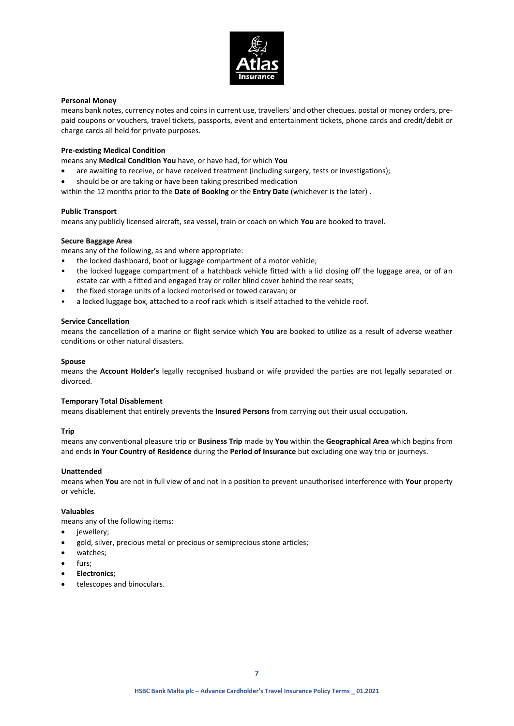

### **Personal Money**

means bank notes, currency notes and coins in current use, travellers' and other cheques, postal or money orders, prepaid coupons or vouchers, travel tickets, passports, event and entertainment tickets, phone cards and credit/debit or charge cards all held for private purposes.

### **Pre-existing Medical Condition**

means any **Medical Condition You** have, or have had, for which **You**

- are awaiting to receive, or have received treatment (including surgery, tests or investigations);
- should be or are taking or have been taking prescribed medication
- within the 12 months prior to the **Date of Booking** or the **Entry Date** (whichever is the later) .

#### **Public Transport**

means any publicly licensed aircraft, sea vessel, train or coach on which **You** are booked to travel.

### **Secure Baggage Area**

means any of the following, as and where appropriate:

- the locked dashboard, boot or luggage compartment of a motor vehicle;
- the locked luggage compartment of a hatchback vehicle fitted with a lid closing off the luggage area, or of an estate car with a fitted and engaged tray or roller blind cover behind the rear seats;
- the fixed storage units of a locked motorised or towed caravan; or
- a locked luggage box, attached to a roof rack which is itself attached to the vehicle roof.

#### **Service Cancellation**

means the cancellation of a marine or flight service which **You** are booked to utilize as a result of adverse weather conditions or other natural disasters.

#### **Spouse**

means the **Account Holder's** legally recognised husband or wife provided the parties are not legally separated or divorced.

#### **Temporary Total Disablement**

means disablement that entirely prevents the **Insured Persons** from carrying out their usual occupation.

### **Trip**

means any conventional pleasure trip or **Business Trip** made by **You** within the **Geographical Area** which begins from and ends **in Your Country of Residence** during the **Period of Insurance** but excluding one way trip or journeys.

#### **Unattended**

means when **You** are not in full view of and not in a position to prevent unauthorised interference with **Your** property or vehicle.

#### **Valuables**

means any of the following items:

- iewellery:
- gold, silver, precious metal or precious or semiprecious stone articles;
- watches;
- furs;
- **Electronics**;
- telescopes and binoculars.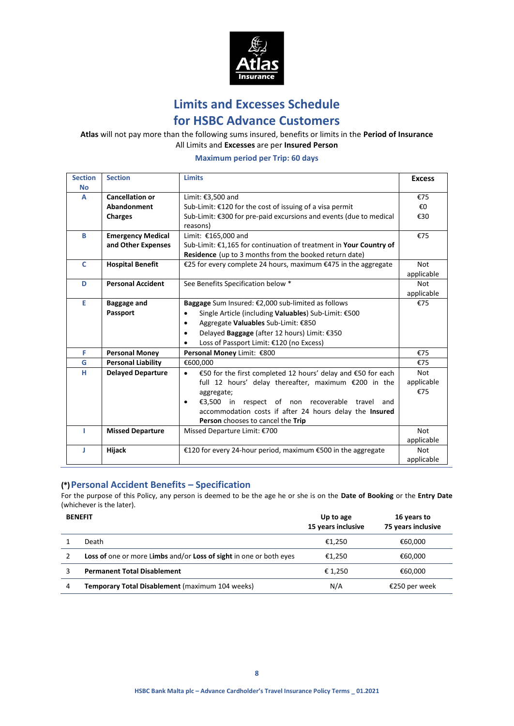

**Limits and Excesses Schedule**

# **for HSBC Advance Customers**

**Atlas** will not pay more than the following sums insured, benefits or limits in the **Period of Insurance** All Limits and **Excesses** are per **Insured Person**

**Maximum period per Trip: 60 days**

| <b>Section</b><br><b>No</b> | <b>Section</b>            | <b>Limits</b>                                                             | <b>Excess</b> |
|-----------------------------|---------------------------|---------------------------------------------------------------------------|---------------|
| A                           | <b>Cancellation or</b>    | Limit: €3,500 and                                                         | €75           |
|                             | Abandonment               | Sub-Limit: $£120$ for the cost of issuing of a visa permit                | €O            |
|                             | <b>Charges</b>            | Sub-Limit: €300 for pre-paid excursions and events (due to medical        | €30           |
|                             |                           | reasons)                                                                  |               |
| B                           | <b>Emergency Medical</b>  | Limit: €165,000 and                                                       | €75           |
|                             | and Other Expenses        | Sub-Limit: €1,165 for continuation of treatment in Your Country of        |               |
|                             |                           | Residence (up to 3 months from the booked return date)                    |               |
| C                           | <b>Hospital Benefit</b>   | €25 for every complete 24 hours, maximum €475 in the aggregate            | <b>Not</b>    |
|                             |                           |                                                                           | applicable    |
| D                           | <b>Personal Accident</b>  | See Benefits Specification below *                                        | Not           |
|                             |                           |                                                                           | applicable    |
| E                           | <b>Baggage and</b>        | Baggage Sum Insured: €2,000 sub-limited as follows                        | €75           |
|                             | Passport                  | Single Article (including Valuables) Sub-Limit: €500                      |               |
|                             |                           | Aggregate Valuables Sub-Limit: €850<br>$\bullet$                          |               |
|                             |                           | Delayed Baggage (after 12 hours) Limit: €350<br>$\bullet$                 |               |
|                             |                           | Loss of Passport Limit: €120 (no Excess)                                  |               |
| F                           | <b>Personal Money</b>     | Personal Money Limit: €800                                                | €75           |
| G                           | <b>Personal Liability</b> | €600,000                                                                  | €75           |
| н                           | <b>Delayed Departure</b>  | €50 for the first completed 12 hours' delay and €50 for each<br>$\bullet$ | <b>Not</b>    |
|                             |                           | full 12 hours' delay thereafter, maximum €200 in the                      | applicable    |
|                             |                           | aggregate;                                                                | €75           |
|                             |                           | €3,500 in respect of non recoverable travel and<br>$\bullet$              |               |
|                             |                           | accommodation costs if after 24 hours delay the Insured                   |               |
|                             |                           | Person chooses to cancel the Trip                                         |               |
| т                           | <b>Missed Departure</b>   | Missed Departure Limit: €700                                              |               |
|                             |                           |                                                                           | applicable    |
| п                           | Hijack                    | €120 for every 24-hour period, maximum €500 in the aggregate              | <b>Not</b>    |
|                             |                           |                                                                           | applicable    |

## **(\*) Personal Accident Benefits – Specification**

For the purpose of this Policy, any person is deemed to be the age he or she is on the **Date of Booking** or the **Entry Date** (whichever is the later).

|         | 75 years inclusive                                                                                                                                 |
|---------|----------------------------------------------------------------------------------------------------------------------------------------------------|
| €1,250  | €60.000                                                                                                                                            |
| €1.250  | €60,000                                                                                                                                            |
| € 1,250 | €60.000                                                                                                                                            |
| N/A     | €250 per week                                                                                                                                      |
|         | 15 years inclusive<br>Loss of one or more Limbs and/or Loss of sight in one or both eyes<br><b>Temporary Total Disablement</b> (maximum 104 weeks) |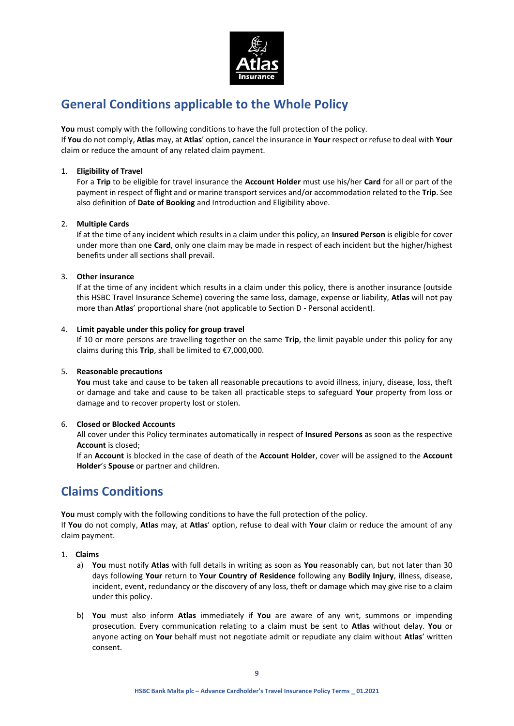

# **General Conditions applicable to the Whole Policy**

**You** must comply with the following conditions to have the full protection of the policy.

If **You** do not comply, **Atlas** may, at **Atlas**' option, cancel the insurance in **Your** respect or refuse to deal with **Your** claim or reduce the amount of any related claim payment.

### 1. **Eligibility of Travel**

For a **Trip** to be eligible for travel insurance the **Account Holder** must use his/her **Card** for all or part of the payment in respect of flight and or marine transport services and/or accommodation related to the **Trip**. See also definition of **Date of Booking** and Introduction and Eligibility above.

### 2. **Multiple Cards**

If at the time of any incident which results in a claim under this policy, an **Insured Person** is eligible for cover under more than one **Card**, only one claim may be made in respect of each incident but the higher/highest benefits under all sections shall prevail.

### 3. **Other insurance**

If at the time of any incident which results in a claim under this policy, there is another insurance (outside this HSBC Travel Insurance Scheme) covering the same loss, damage, expense or liability, **Atlas** will not pay more than **Atlas**' proportional share (not applicable to Section D - Personal accident).

### 4. **Limit payable under this policy for group travel**

If 10 or more persons are travelling together on the same **Trip**, the limit payable under this policy for any claims during this **Trip**, shall be limited to €7,000,000.

### 5. **Reasonable precautions**

**You** must take and cause to be taken all reasonable precautions to avoid illness, injury, disease, loss, theft or damage and take and cause to be taken all practicable steps to safeguard **Your** property from loss or damage and to recover property lost or stolen.

### 6. **Closed or Blocked Accounts**

All cover under this Policy terminates automatically in respect of **Insured Persons** as soon as the respective **Account** is closed;

If an **Account** is blocked in the case of death of the **Account Holder**, cover will be assigned to the **Account Holder**'s **Spouse** or partner and children.

# **Claims Conditions**

**You** must comply with the following conditions to have the full protection of the policy.

If **You** do not comply, **Atlas** may, at **Atlas**' option, refuse to deal with **Your** claim or reduce the amount of any claim payment.

- 1. **Claims**
	- a) **You** must notify **Atlas** with full details in writing as soon as **You** reasonably can, but not later than 30 days following **Your** return to **Your Country of Residence** following any **Bodily Injury**, illness, disease, incident, event, redundancy or the discovery of any loss, theft or damage which may give rise to a claim under this policy.
	- b) **You** must also inform **Atlas** immediately if **You** are aware of any writ, summons or impending prosecution. Every communication relating to a claim must be sent to **Atlas** without delay. **You** or anyone acting on **Your** behalf must not negotiate admit or repudiate any claim without **Atlas**' written consent.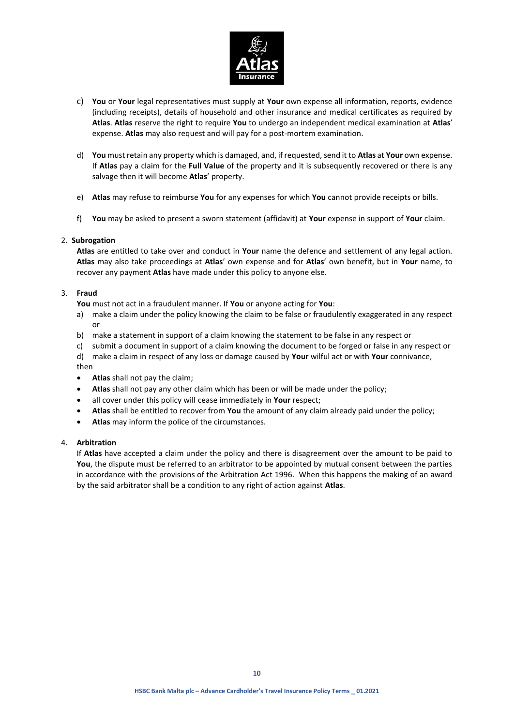

- c) **You** or **Your** legal representatives must supply at **Your** own expense all information, reports, evidence (including receipts), details of household and other insurance and medical certificates as required by **Atlas**. **Atlas** reserve the right to require **You** to undergo an independent medical examination at **Atlas**' expense. **Atlas** may also request and will pay for a post-mortem examination.
- d) **You** must retain any property which is damaged, and, if requested, send it to **Atlas** at **Your** own expense. If **Atlas** pay a claim for the **Full Value** of the property and it is subsequently recovered or there is any salvage then it will become **Atlas**' property.
- e) **Atlas** may refuse to reimburse **You** for any expenses for which **You** cannot provide receipts or bills.
- f) **You** may be asked to present a sworn statement (affidavit) at **Your** expense in support of **Your** claim.

### 2. **Subrogation**

**Atlas** are entitled to take over and conduct in **Your** name the defence and settlement of any legal action. **Atlas** may also take proceedings at **Atlas**' own expense and for **Atlas**' own benefit, but in **Your** name, to recover any payment **Atlas** have made under this policy to anyone else.

### 3. **Fraud**

**You** must not act in a fraudulent manner. If **You** or anyone acting for **You**:

- a) make a claim under the policy knowing the claim to be false or fraudulently exaggerated in any respect or
- b) make a statement in support of a claim knowing the statement to be false in any respect or
- c) submit a document in support of a claim knowing the document to be forged or false in any respect or
- d) make a claim in respect of any loss or damage caused by **Your** wilful act or with **Your** connivance,
- then
- **Atlas** shall not pay the claim;
- **Atlas** shall not pay any other claim which has been or will be made under the policy;
- all cover under this policy will cease immediately in **Your** respect;
- **Atlas** shall be entitled to recover from **You** the amount of any claim already paid under the policy;
- **Atlas** may inform the police of the circumstances.

### 4. **Arbitration**

If **Atlas** have accepted a claim under the policy and there is disagreement over the amount to be paid to **You**, the dispute must be referred to an arbitrator to be appointed by mutual consent between the parties in accordance with the provisions of the Arbitration Act 1996. When this happens the making of an award by the said arbitrator shall be a condition to any right of action against **Atlas**.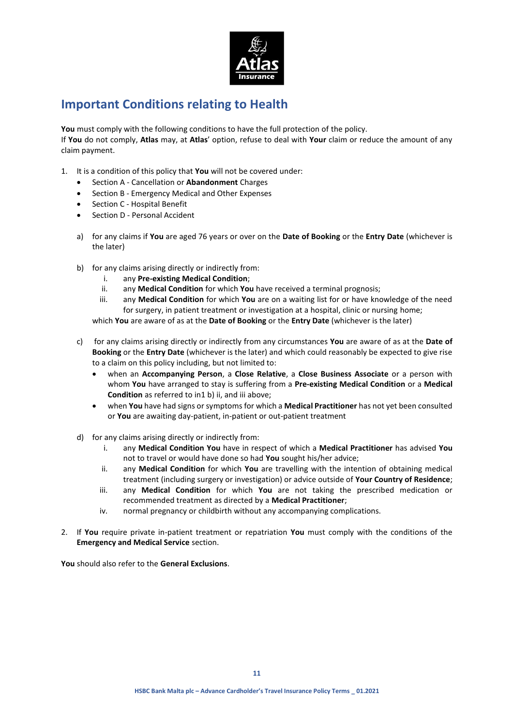

# **Important Conditions relating to Health**

**You** must comply with the following conditions to have the full protection of the policy. If **You** do not comply, **Atlas** may, at **Atlas**' option, refuse to deal with **Your** claim or reduce the amount of any claim payment.

- 1. It is a condition of this policy that **You** will not be covered under:
	- Section A Cancellation or **Abandonment** Charges
	- Section B Emergency Medical and Other Expenses
	- Section C Hospital Benefit
	- Section D Personal Accident
	- a) for any claims if **You** are aged 76 years or over on the **Date of Booking** or the **Entry Date** (whichever is the later)
	- b) for any claims arising directly or indirectly from:
		- i. any **Pre-existing Medical Condition**;
		- ii. any **Medical Condition** for which **You** have received a terminal prognosis;
		- iii. any **Medical Condition** for which **You** are on a waiting list for or have knowledge of the need for surgery, in patient treatment or investigation at a hospital, clinic or nursing home;

which **You** are aware of as at the **Date of Booking** or the **Entry Date** (whichever is the later)

- c) for any claims arising directly or indirectly from any circumstances **You** are aware of as at the **Date of Booking** or the **Entry Date** (whichever is the later) and which could reasonably be expected to give rise to a claim on this policy including, but not limited to:
	- when an **Accompanying Person**, a **Close Relative**, a **Close Business Associate** or a person with whom **You** have arranged to stay is suffering from a **Pre-existing Medical Condition** or a **Medical Condition** as referred to in1 b) ii, and iii above;
	- when **You** have had signs or symptoms for which a **Medical Practitioner** has not yet been consulted or **You** are awaiting day-patient, in-patient or out-patient treatment
- d) for any claims arising directly or indirectly from:
	- i. any **Medical Condition You** have in respect of which a **Medical Practitioner** has advised **You** not to travel or would have done so had **You** sought his/her advice;
	- ii. any **Medical Condition** for which **You** are travelling with the intention of obtaining medical treatment (including surgery or investigation) or advice outside of **Your Country of Residence**;
	- iii. any **Medical Condition** for which **You** are not taking the prescribed medication or recommended treatment as directed by a **Medical Practitioner**;
	- iv. normal pregnancy or childbirth without any accompanying complications.
- 2. If **You** require private in-patient treatment or repatriation **You** must comply with the conditions of the **Emergency and Medical Service** section.

**You** should also refer to the **General Exclusions**.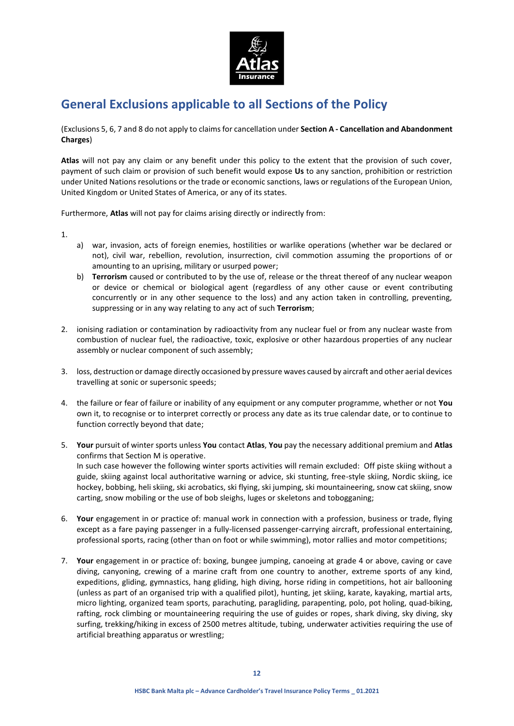

# **General Exclusions applicable to all Sections of the Policy**

(Exclusions 5, 6, 7 and 8 do not apply to claims for cancellation under **Section A - Cancellation and Abandonment Charges**)

**Atlas** will not pay any claim or any benefit under this policy to the extent that the provision of such cover, payment of such claim or provision of such benefit would expose **Us** to any sanction, prohibition or restriction under United Nations resolutions or the trade or economic sanctions, laws or regulations of the European Union, United Kingdom or United States of America, or any of its states.

Furthermore, **Atlas** will not pay for claims arising directly or indirectly from:

1.

- a) war, invasion, acts of foreign enemies, hostilities or warlike operations (whether war be declared or not), civil war, rebellion, revolution, insurrection, civil commotion assuming the proportions of or amounting to an uprising, military or usurped power;
- b) **Terrorism** caused or contributed to by the use of, release or the threat thereof of any nuclear weapon or device or chemical or biological agent (regardless of any other cause or event contributing concurrently or in any other sequence to the loss) and any action taken in controlling, preventing, suppressing or in any way relating to any act of such **Terrorism**;
- 2. ionising radiation or contamination by radioactivity from any nuclear fuel or from any nuclear waste from combustion of nuclear fuel, the radioactive, toxic, explosive or other hazardous properties of any nuclear assembly or nuclear component of such assembly;
- 3. loss, destruction or damage directly occasioned by pressure waves caused by aircraft and other aerial devices travelling at sonic or supersonic speeds;
- 4. the failure or fear of failure or inability of any equipment or any computer programme, whether or not **You** own it, to recognise or to interpret correctly or process any date as its true calendar date, or to continue to function correctly beyond that date;
- 5. **Your** pursuit of winter sports unless **You** contact **Atlas**, **You** pay the necessary additional premium and **Atlas** confirms that Section M is operative. In such case however the following winter sports activities will remain excluded: Off piste skiing without a guide, skiing against local authoritative warning or advice, ski stunting, free-style skiing, Nordic skiing, ice hockey, bobbing, heli skiing, ski acrobatics, ski flying, ski jumping, ski mountaineering, snow cat skiing, snow carting, snow mobiling or the use of bob sleighs, luges or skeletons and tobogganing;
- 6. **Your** engagement in or practice of: manual work in connection with a profession, business or trade, flying except as a fare paying passenger in a fully-licensed passenger-carrying aircraft, professional entertaining, professional sports, racing (other than on foot or while swimming), motor rallies and motor competitions;
- 7. **Your** engagement in or practice of: boxing, bungee jumping, canoeing at grade 4 or above, caving or cave diving, canyoning, crewing of a marine craft from one country to another, extreme sports of any kind, expeditions, gliding, gymnastics, hang gliding, high diving, horse riding in competitions, hot air ballooning (unless as part of an organised trip with a qualified pilot), hunting, jet skiing, karate, kayaking, martial arts, micro lighting, organized team sports, parachuting, paragliding, parapenting, polo, pot holing, quad-biking, rafting, rock climbing or mountaineering requiring the use of guides or ropes, shark diving, sky diving, sky surfing, trekking/hiking in excess of 2500 metres altitude, tubing, underwater activities requiring the use of artificial breathing apparatus or wrestling;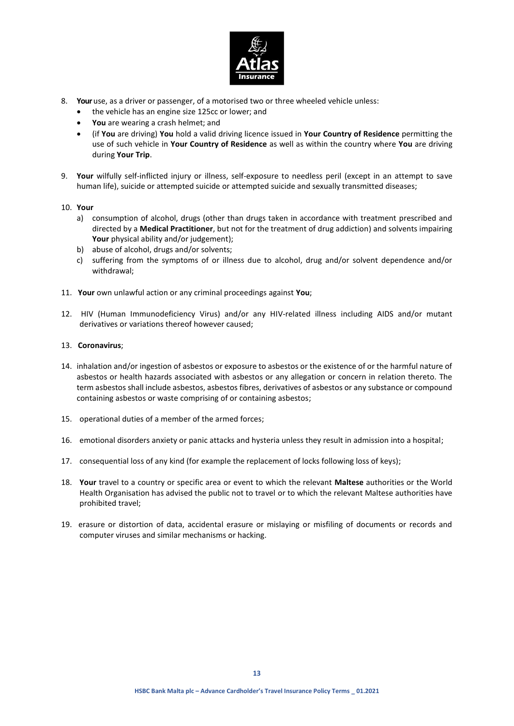

- 8. **Your**use, as a driver or passenger, of a motorised two or three wheeled vehicle unless:
	- the vehicle has an engine size 125cc or lower; and
	- **You** are wearing a crash helmet; and
	- (if **You** are driving) **You** hold a valid driving licence issued in **Your Country of Residence** permitting the use of such vehicle in **Your Country of Residence** as well as within the country where **You** are driving during **Your Trip**.
- 9. **Your** wilfully self-inflicted injury or illness, self-exposure to needless peril (except in an attempt to save human life), suicide or attempted suicide or attempted suicide and sexually transmitted diseases;
- 10. **Your**
	- a) consumption of alcohol, drugs (other than drugs taken in accordance with treatment prescribed and directed by a **Medical Practitioner**, but not for the treatment of drug addiction) and solvents impairing Your physical ability and/or judgement);
	- b) abuse of alcohol, drugs and/or solvents;
	- c) suffering from the symptoms of or illness due to alcohol, drug and/or solvent dependence and/or withdrawal;
- 11. **Your** own unlawful action or any criminal proceedings against **You**;
- 12. HIV (Human Immunodeficiency Virus) and/or any HIV-related illness including AIDS and/or mutant derivatives or variations thereof however caused;
- 13. **Coronavirus**;
- 14. inhalation and/or ingestion of asbestos or exposure to asbestos or the existence of or the harmful nature of asbestos or health hazards associated with asbestos or any allegation or concern in relation thereto. The term asbestos shall include asbestos, asbestos fibres, derivatives of asbestos or any substance or compound containing asbestos or waste comprising of or containing asbestos;
- 15. operational duties of a member of the armed forces;
- 16. emotional disorders anxiety or panic attacks and hysteria unless they result in admission into a hospital;
- 17. consequential loss of any kind (for example the replacement of locks following loss of keys);
- 18. **Your** travel to a country or specific area or event to which the relevant **Maltese** authorities or the World Health Organisation has advised the public not to travel or to which the relevant Maltese authorities have prohibited travel;
- 19. erasure or distortion of data, accidental erasure or mislaying or misfiling of documents or records and computer viruses and similar mechanisms or hacking.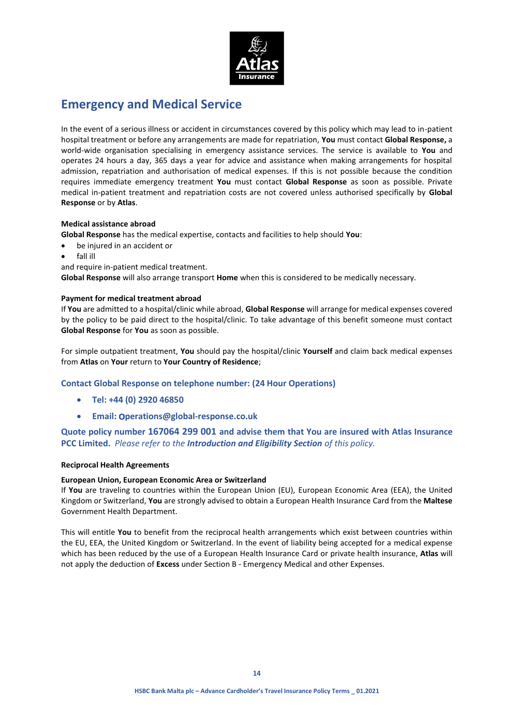

# **Emergency and Medical Service**

In the event of a serious illness or accident in circumstances covered by this policy which may lead to in-patient hospital treatment or before any arrangements are made for repatriation, **You** must contact **Global Response,** a world-wide organisation specialising in emergency assistance services. The service is available to **You** and operates 24 hours a day, 365 days a year for advice and assistance when making arrangements for hospital admission, repatriation and authorisation of medical expenses. If this is not possible because the condition requires immediate emergency treatment **You** must contact **Global Response** as soon as possible. Private medical in-patient treatment and repatriation costs are not covered unless authorised specifically by **Global Response** or by **Atlas**.

### **Medical assistance abroad**

**Global Response** has the medical expertise, contacts and facilities to help should **You**:

- be injured in an accident or
- fall ill
- and require in-patient medical treatment.

**Global Response** will also arrange transport **Home** when this is considered to be medically necessary.

### **Payment for medical treatment abroad**

If **You** are admitted to a hospital/clinic while abroad, **Global Response** will arrange for medical expenses covered by the policy to be paid direct to the hospital/clinic. To take advantage of this benefit someone must contact **Global Response** for **You** as soon as possible.

For simple outpatient treatment, **You** should pay the hospital/clinic **Yourself** and claim back medical expenses from **Atlas** on **Your** return to **Your Country of Residence**;

## **Contact Global Response on telephone number: (24 Hour Operations)**

- **Tel: +44 (0) 2920 46850**
- **Email:** o**perations@global-response.co.uk**

**Quote policy number 167064 299 001 and advise them that You are insured with Atlas Insurance PCC Limited.** *Please refer to the Introduction and Eligibility Section of this policy.*

### **Reciprocal Health Agreements**

### **European Union, European Economic Area or Switzerland**

If **You** are traveling to countries within the European Union (EU), European Economic Area (EEA), the United Kingdom or Switzerland, **You** are strongly advised to obtain a European Health Insurance Card from the **Maltese** Government Health Department.

This will entitle **You** to benefit from the reciprocal health arrangements which exist between countries within the EU, EEA, the United Kingdom or Switzerland. In the event of liability being accepted for a medical expense which has been reduced by the use of a European Health Insurance Card or private health insurance, **Atlas** will not apply the deduction of **Excess** under Section B - Emergency Medical and other Expenses.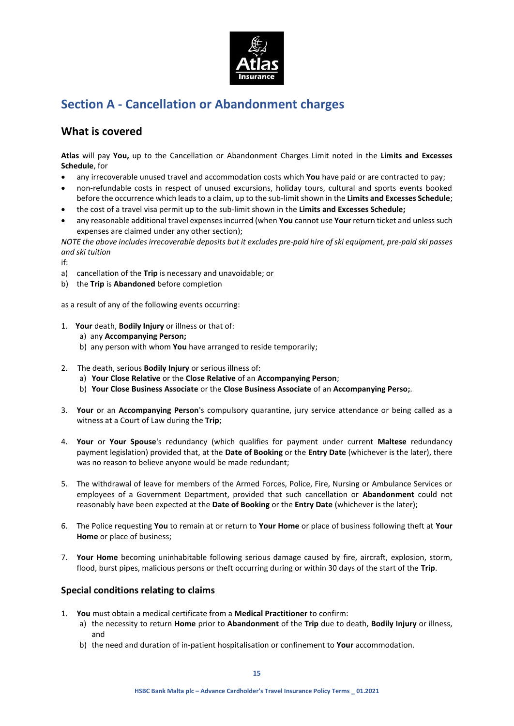

# **Section A - Cancellation or Abandonment charges**

## **What is covered**

**Atlas** will pay **You,** up to the Cancellation or Abandonment Charges Limit noted in the **Limits and Excesses Schedule**, for

- any irrecoverable unused travel and accommodation costs which **You** have paid or are contracted to pay;
- non-refundable costs in respect of unused excursions, holiday tours, cultural and sports events booked before the occurrence which leads to a claim, up to the sub-limit shown in the **Limits and Excesses Schedule**;
- the cost of a travel visa permit up to the sub-limit shown in the **Limits and Excesses Schedule;**
- any reasonable additional travel expenses incurred (when **You** cannot use **Your** return ticket and unless such expenses are claimed under any other section);

*NOTE the above includes irrecoverable deposits but it excludes pre-paid hire of ski equipment, pre-paid ski passes and ski tuition*

if:

- a) cancellation of the **Trip** is necessary and unavoidable; or
- b) the **Trip** is **Abandoned** before completion

as a result of any of the following events occurring:

- 1. **Your** death, **Bodily Injury** or illness or that of:
	- a) any **Accompanying Person;**
	- b) any person with whom **You** have arranged to reside temporarily;
- 2. The death, serious **Bodily Injury** or serious illness of:
	- a) **Your Close Relative** or the **Close Relative** of an **Accompanying Person**;
	- b) **Your Close Business Associate** or the **Close Business Associate** of an **Accompanying Perso;**.
- 3. **Your** or an **Accompanying Person**'s compulsory quarantine, jury service attendance or being called as a witness at a Court of Law during the **Trip**;
- 4. **Your** or **Your Spouse**'s redundancy (which qualifies for payment under current **Maltese** redundancy payment legislation) provided that, at the **Date of Booking** or the **Entry Date** (whichever is the later), there was no reason to believe anyone would be made redundant;
- 5. The withdrawal of leave for members of the Armed Forces, Police, Fire, Nursing or Ambulance Services or employees of a Government Department, provided that such cancellation or **Abandonment** could not reasonably have been expected at the **Date of Booking** or the **Entry Date** (whichever is the later);
- 6. The Police requesting **You** to remain at or return to **Your Home** or place of business following theft at **Your Home** or place of business;
- 7. **Your Home** becoming uninhabitable following serious damage caused by fire, aircraft, explosion, storm, flood, burst pipes, malicious persons or theft occurring during or within 30 days of the start of the **Trip**.

## **Special conditions relating to claims**

- 1. **You** must obtain a medical certificate from a **Medical Practitioner** to confirm:
	- a) the necessity to return **Home** prior to **Abandonment** of the **Trip** due to death, **Bodily Injury** or illness, and
	- b) the need and duration of in-patient hospitalisation or confinement to **Your** accommodation.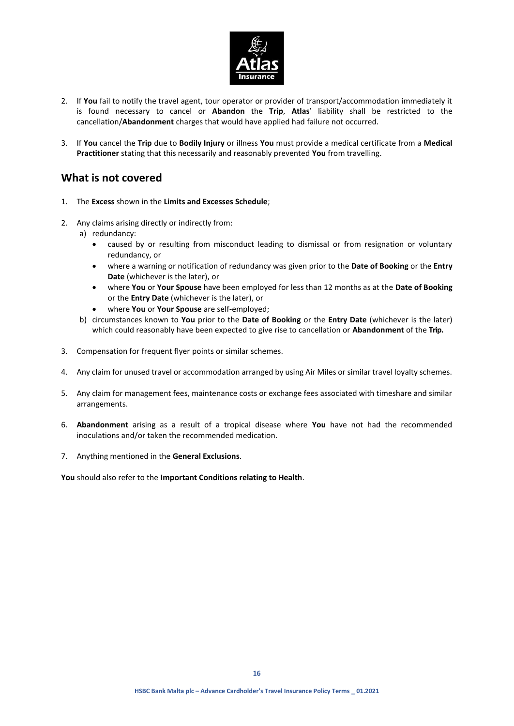

- 2. If **You** fail to notify the travel agent, tour operator or provider of transport/accommodation immediately it is found necessary to cancel or **Abandon** the **Trip**, **Atlas**' liability shall be restricted to the cancellation/**Abandonment** charges that would have applied had failure not occurred.
- 3. If **You** cancel the **Trip** due to **Bodily Injury** or illness **You** must provide a medical certificate from a **Medical Practitioner** stating that this necessarily and reasonably prevented **You** from travelling.

## **What is not covered**

- 1. The **Excess** shown in the **Limits and Excesses Schedule**;
- 2. Any claims arising directly or indirectly from:
	- a) redundancy:
		- caused by or resulting from misconduct leading to dismissal or from resignation or voluntary redundancy, or
		- where a warning or notification of redundancy was given prior to the **Date of Booking** or the **Entry Date** (whichever is the later), or
		- where **You** or **Your Spouse** have been employed for less than 12 months as at the **Date of Booking** or the **Entry Date** (whichever is the later), or
		- where **You** or **Your Spouse** are self-employed;
	- b) circumstances known to **You** prior to the **Date of Booking** or the **Entry Date** (whichever is the later) which could reasonably have been expected to give rise to cancellation or **Abandonment** of the **Trip.**
- 3. Compensation for frequent flyer points or similar schemes.
- 4. Any claim for unused travel or accommodation arranged by using Air Miles or similar travel loyalty schemes.
- 5. Any claim for management fees, maintenance costs or exchange fees associated with timeshare and similar arrangements.
- 6. **Abandonment** arising as a result of a tropical disease where **You** have not had the recommended inoculations and/or taken the recommended medication.
- 7. Anything mentioned in the **General Exclusions**.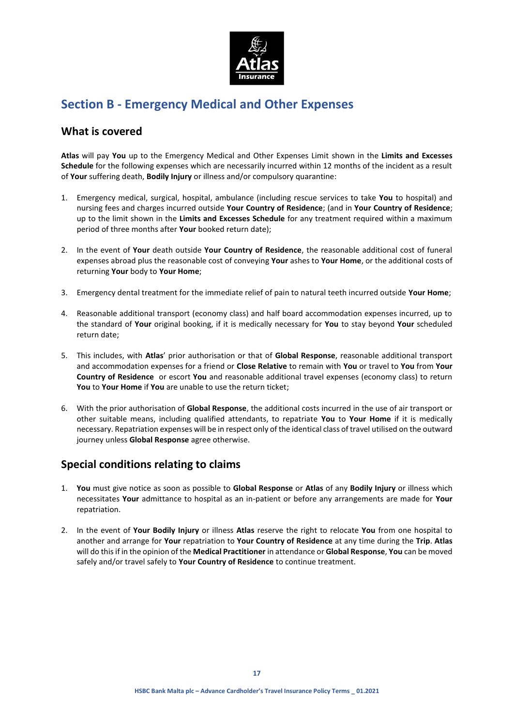

# **Section B - Emergency Medical and Other Expenses**

## **What is covered**

**Atlas** will pay **You** up to the Emergency Medical and Other Expenses Limit shown in the **Limits and Excesses Schedule** for the following expenses which are necessarily incurred within 12 months of the incident as a result of **Your** suffering death, **Bodily Injury** or illness and/or compulsory quarantine:

- 1. Emergency medical, surgical, hospital, ambulance (including rescue services to take **You** to hospital) and nursing fees and charges incurred outside **Your Country of Residence**; (and in **Your Country of Residence**; up to the limit shown in the **Limits and Excesses Schedule** for any treatment required within a maximum period of three months after **Your** booked return date);
- 2. In the event of **Your** death outside **Your Country of Residence**, the reasonable additional cost of funeral expenses abroad plus the reasonable cost of conveying **Your** ashes to **Your Home**, or the additional costs of returning **Your** body to **Your Home**;
- 3. Emergency dental treatment for the immediate relief of pain to natural teeth incurred outside **Your Home**;
- 4. Reasonable additional transport (economy class) and half board accommodation expenses incurred, up to the standard of **Your** original booking, if it is medically necessary for **You** to stay beyond **Your** scheduled return date;
- 5. This includes, with **Atlas**' prior authorisation or that of **Global Response**, reasonable additional transport and accommodation expenses for a friend or **Close Relative** to remain with **You** or travel to **You** from **Your Country of Residence** or escort **You** and reasonable additional travel expenses (economy class) to return **You** to **Your Home** if **You** are unable to use the return ticket;
- 6. With the prior authorisation of **Global Response**, the additional costs incurred in the use of air transport or other suitable means, including qualified attendants, to repatriate **You** to **Your Home** if it is medically necessary. Repatriation expenses will be in respect only of the identical class of travel utilised on the outward journey unless **Global Response** agree otherwise.

# **Special conditions relating to claims**

- 1. **You** must give notice as soon as possible to **Global Response** or **Atlas** of any **Bodily Injury** or illness which necessitates **Your** admittance to hospital as an in-patient or before any arrangements are made for **Your** repatriation.
- 2. In the event of **Your Bodily Injury** or illness **Atlas** reserve the right to relocate **You** from one hospital to another and arrange for **Your** repatriation to **Your Country of Residence** at any time during the **Trip**. **Atlas** will do this if in the opinion of the **Medical Practitioner** in attendance or **Global Response**, **You** can be moved safely and/or travel safely to **Your Country of Residence** to continue treatment.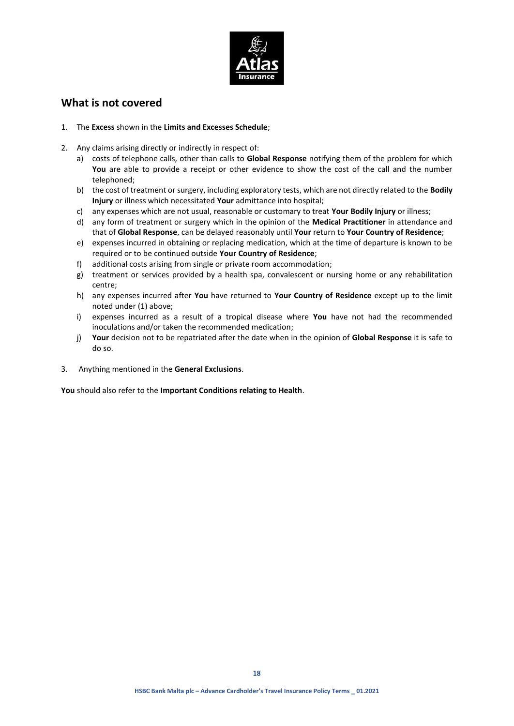

## **What is not covered**

- 1. The **Excess** shown in the **Limits and Excesses Schedule**;
- 2. Any claims arising directly or indirectly in respect of:
	- a) costs of telephone calls, other than calls to **Global Response** notifying them of the problem for which **You** are able to provide a receipt or other evidence to show the cost of the call and the number telephoned;
	- b) the cost of treatment or surgery, including exploratory tests, which are not directly related to the **Bodily Injury** or illness which necessitated **Your** admittance into hospital;
	- c) any expenses which are not usual, reasonable or customary to treat **Your Bodily Injury** or illness;
	- d) any form of treatment or surgery which in the opinion of the **Medical Practitioner** in attendance and that of **Global Response**, can be delayed reasonably until **Your** return to **Your Country of Residence**;
	- e) expenses incurred in obtaining or replacing medication, which at the time of departure is known to be required or to be continued outside **Your Country of Residence**;
	- f) additional costs arising from single or private room accommodation;
	- g) treatment or services provided by a health spa, convalescent or nursing home or any rehabilitation centre;
	- h) any expenses incurred after **You** have returned to **Your Country of Residence** except up to the limit noted under (1) above;
	- i) expenses incurred as a result of a tropical disease where **You** have not had the recommended inoculations and/or taken the recommended medication;
	- j) **Your** decision not to be repatriated after the date when in the opinion of **Global Response** it is safe to do so.
- 3. Anything mentioned in the **General Exclusions**.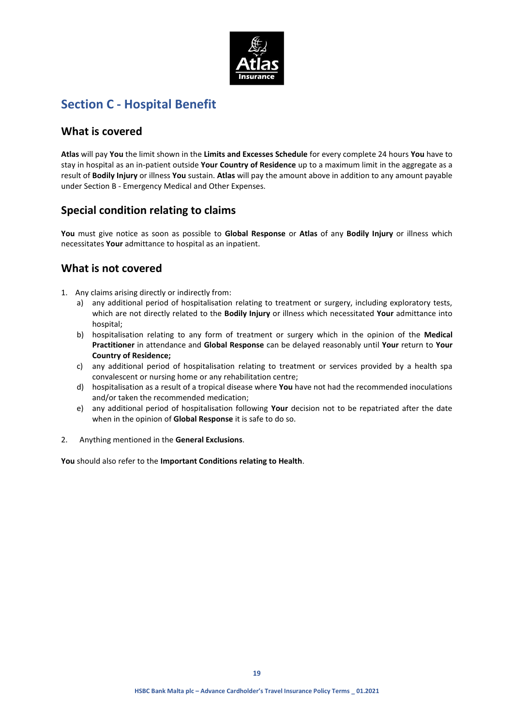

# **Section C - Hospital Benefit**

## **What is covered**

**Atlas** will pay **You** the limit shown in the **Limits and Excesses Schedule** for every complete 24 hours **You** have to stay in hospital as an in-patient outside **Your Country of Residence** up to a maximum limit in the aggregate as a result of **Bodily Injury** or illness **You** sustain. **Atlas** will pay the amount above in addition to any amount payable under Section B - Emergency Medical and Other Expenses.

# **Special condition relating to claims**

**You** must give notice as soon as possible to **Global Response** or **Atlas** of any **Bodily Injury** or illness which necessitates **Your** admittance to hospital as an inpatient.

# **What is not covered**

- 1. Any claims arising directly or indirectly from:
	- a) any additional period of hospitalisation relating to treatment or surgery, including exploratory tests, which are not directly related to the **Bodily Injury** or illness which necessitated **Your** admittance into hospital;
	- b) hospitalisation relating to any form of treatment or surgery which in the opinion of the **Medical Practitioner** in attendance and **Global Response** can be delayed reasonably until **Your** return to **Your Country of Residence;**
	- c) any additional period of hospitalisation relating to treatment or services provided by a health spa convalescent or nursing home or any rehabilitation centre;
	- d) hospitalisation as a result of a tropical disease where **You** have not had the recommended inoculations and/or taken the recommended medication;
	- e) any additional period of hospitalisation following **Your** decision not to be repatriated after the date when in the opinion of **Global Response** it is safe to do so.
- 2. Anything mentioned in the **General Exclusions**.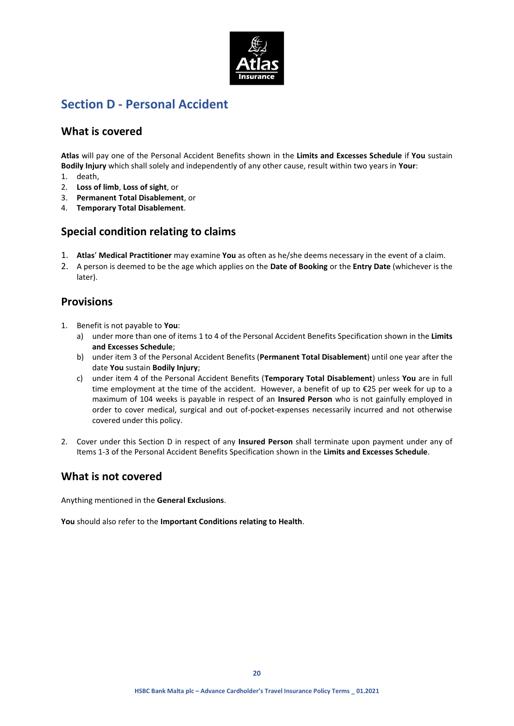

# **Section D - Personal Accident**

## **What is covered**

**Atlas** will pay one of the Personal Accident Benefits shown in the **Limits and Excesses Schedule** if **You** sustain **Bodily Injury** which shall solely and independently of any other cause, result within two years in **Your**:

- 1. death,
- 2. **Loss of limb**, **Loss of sight**, or
- 3. **Permanent Total Disablement**, or
- 4. **Temporary Total Disablement**.

## **Special condition relating to claims**

- 1. **Atlas**' **Medical Practitioner** may examine **You** as often as he/she deems necessary in the event of a claim.
- 2. A person is deemed to be the age which applies on the **Date of Booking** or the **Entry Date** (whichever is the later).

## **Provisions**

- 1. Benefit is not payable to **You**:
	- a) under more than one of items 1 to 4 of the Personal Accident Benefits Specification shown in the **Limits and Excesses Schedule**;
	- b) under item 3 of the Personal Accident Benefits (**Permanent Total Disablement**) until one year after the date **You** sustain **Bodily Injury**;
	- c) under item 4 of the Personal Accident Benefits (**Temporary Total Disablement**) unless **You** are in full time employment at the time of the accident. However, a benefit of up to €25 per week for up to a maximum of 104 weeks is payable in respect of an **Insured Person** who is not gainfully employed in order to cover medical, surgical and out of-pocket-expenses necessarily incurred and not otherwise covered under this policy.
- 2. Cover under this Section D in respect of any **Insured Person** shall terminate upon payment under any of Items 1-3 of the Personal Accident Benefits Specification shown in the **Limits and Excesses Schedule**.

## **What is not covered**

Anything mentioned in the **General Exclusions**.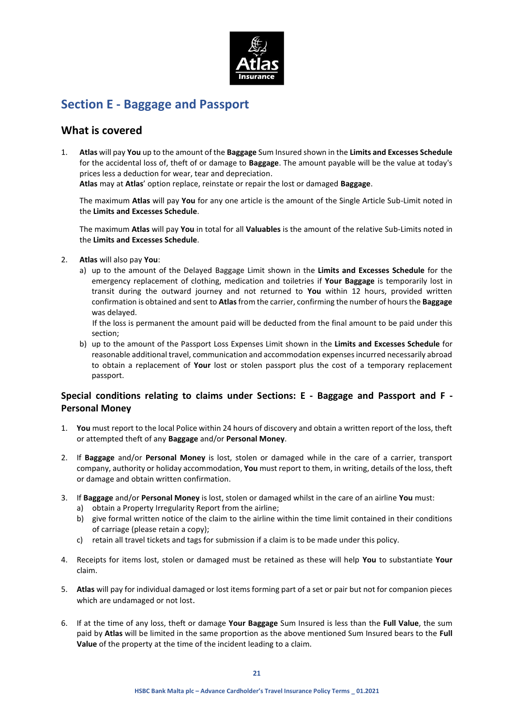

# **Section E - Baggage and Passport**

## **What is covered**

1. **Atlas** will pay **You** up to the amount of the **Baggage** Sum Insured shown in the **Limits and Excesses Schedule** for the accidental loss of, theft of or damage to **Baggage**. The amount payable will be the value at today's prices less a deduction for wear, tear and depreciation.

**Atlas** may at **Atlas**' option replace, reinstate or repair the lost or damaged **Baggage**.

The maximum **Atlas** will pay **You** for any one article is the amount of the Single Article Sub-Limit noted in the **Limits and Excesses Schedule**.

The maximum **Atlas** will pay **You** in total for all **Valuables** is the amount of the relative Sub-Limits noted in the **Limits and Excesses Schedule**.

- 2. **Atlas** will also pay **You**:
	- a) up to the amount of the Delayed Baggage Limit shown in the **Limits and Excesses Schedule** for the emergency replacement of clothing, medication and toiletries if **Your Baggage** is temporarily lost in transit during the outward journey and not returned to **You** within 12 hours, provided written confirmation is obtained and sent to **Atlas**from the carrier, confirming the number of hours the **Baggage** was delayed.

If the loss is permanent the amount paid will be deducted from the final amount to be paid under this section;

b) up to the amount of the Passport Loss Expenses Limit shown in the **Limits and Excesses Schedule** for reasonable additional travel, communication and accommodation expenses incurred necessarily abroad to obtain a replacement of **Your** lost or stolen passport plus the cost of a temporary replacement passport.

## **Special conditions relating to claims under Sections: E - Baggage and Passport and F - Personal Money**

- 1. **You** must report to the local Police within 24 hours of discovery and obtain a written report of the loss, theft or attempted theft of any **Baggage** and/or **Personal Money**.
- 2. If **Baggage** and/or **Personal Money** is lost, stolen or damaged while in the care of a carrier, transport company, authority or holiday accommodation, **You** must report to them, in writing, details of the loss, theft or damage and obtain written confirmation.
- 3. If **Baggage** and/or **Personal Money** is lost, stolen or damaged whilst in the care of an airline **You** must:
	- a) obtain a Property Irregularity Report from the airline;
	- b) give formal written notice of the claim to the airline within the time limit contained in their conditions of carriage (please retain a copy);
	- c) retain all travel tickets and tags for submission if a claim is to be made under this policy.
- 4. Receipts for items lost, stolen or damaged must be retained as these will help **You** to substantiate **Your** claim.
- 5. **Atlas** will pay for individual damaged or lost items forming part of a set or pair but not for companion pieces which are undamaged or not lost.
- 6. If at the time of any loss, theft or damage **Your Baggage** Sum Insured is less than the **Full Value**, the sum paid by **Atlas** will be limited in the same proportion as the above mentioned Sum Insured bears to the **Full Value** of the property at the time of the incident leading to a claim.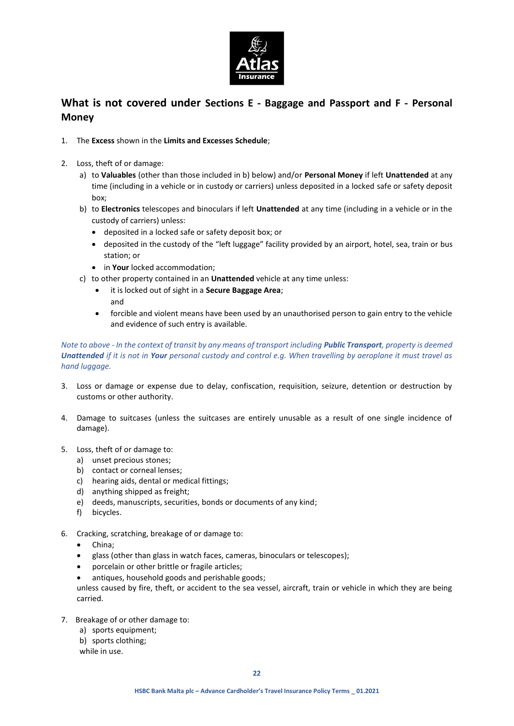

# **What is not covered under Sections E - Baggage and Passport and F - Personal Money**

- 1. The **Excess** shown in the **Limits and Excesses Schedule**;
- 2. Loss, theft of or damage:
	- a) to **Valuables** (other than those included in b) below) and/or **Personal Money** if left **Unattended** at any time (including in a vehicle or in custody or carriers) unless deposited in a locked safe or safety deposit box;
	- b) to **Electronics** telescopes and binoculars if left **Unattended** at any time (including in a vehicle or in the custody of carriers) unless:
		- deposited in a locked safe or safety deposit box; or
		- deposited in the custody of the "left luggage" facility provided by an airport, hotel, sea, train or bus station; or
		- **•** in **Your** locked accommodation;
	- c) to other property contained in an **Unattended** vehicle at any time unless:
		- it is locked out of sight in a **Secure Baggage Area**;
		- and
		- forcible and violent means have been used by an unauthorised person to gain entry to the vehicle and evidence of such entry is available.

### *Note to above - In the context of transit by any means of transport including Public Transport, property is deemed Unattended if it is not in Your personal custody and control e.g. When travelling by aeroplane it must travel as hand luggage.*

- 3. Loss or damage or expense due to delay, confiscation, requisition, seizure, detention or destruction by customs or other authority.
- 4. Damage to suitcases (unless the suitcases are entirely unusable as a result of one single incidence of damage).
- 5. Loss, theft of or damage to:
	- a) unset precious stones;
	- b) contact or corneal lenses;
	- c) hearing aids, dental or medical fittings;
	- d) anything shipped as freight;
	- e) deeds, manuscripts, securities, bonds or documents of any kind;
	- f) bicycles.
- 6. Cracking, scratching, breakage of or damage to:
	- China;
	- glass (other than glass in watch faces, cameras, binoculars or telescopes);
	- porcelain or other brittle or fragile articles;
	- antiques, household goods and perishable goods;

unless caused by fire, theft, or accident to the sea vessel, aircraft, train or vehicle in which they are being carried.

- 7. Breakage of or other damage to:
	- a) sports equipment;
	- b) sports clothing;
	- while in use.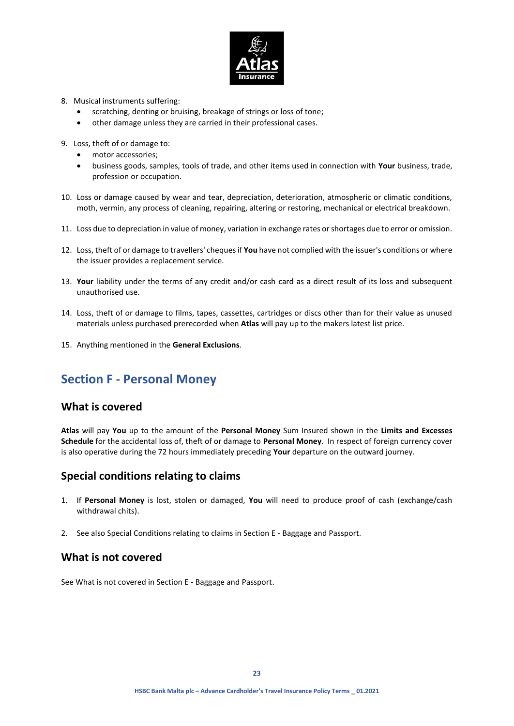

- 8. Musical instruments suffering:
	- scratching, denting or bruising, breakage of strings or loss of tone;
	- other damage unless they are carried in their professional cases.
- 9. Loss, theft of or damage to:
	- motor accessories;
	- business goods, samples, tools of trade, and other items used in connection with **Your** business, trade, profession or occupation.
- 10. Loss or damage caused by wear and tear, depreciation, deterioration, atmospheric or climatic conditions, moth, vermin, any process of cleaning, repairing, altering or restoring, mechanical or electrical breakdown.
- 11. Loss due to depreciation in value of money, variation in exchange rates or shortages due to error or omission.
- 12. Loss, theft of or damage to travellers' cheques if **You** have not complied with the issuer's conditions or where the issuer provides a replacement service.
- 13. **Your** liability under the terms of any credit and/or cash card as a direct result of its loss and subsequent unauthorised use.
- 14. Loss, theft of or damage to films, tapes, cassettes, cartridges or discs other than for their value as unused materials unless purchased prerecorded when **Atlas** will pay up to the makers latest list price.
- 15. Anything mentioned in the **General Exclusions**.

# **Section F - Personal Money**

## **What is covered**

**Atlas** will pay **You** up to the amount of the **Personal Money** Sum Insured shown in the **Limits and Excesses Schedule** for the accidental loss of, theft of or damage to **Personal Money**. In respect of foreign currency cover is also operative during the 72 hours immediately preceding **Your** departure on the outward journey.

## **Special conditions relating to claims**

- 1. If **Personal Money** is lost, stolen or damaged, **You** will need to produce proof of cash (exchange/cash withdrawal chits).
- 2. See also Special Conditions relating to claims in Section E Baggage and Passport.

## **What is not covered**

See What is not covered in Section E - Baggage and Passport.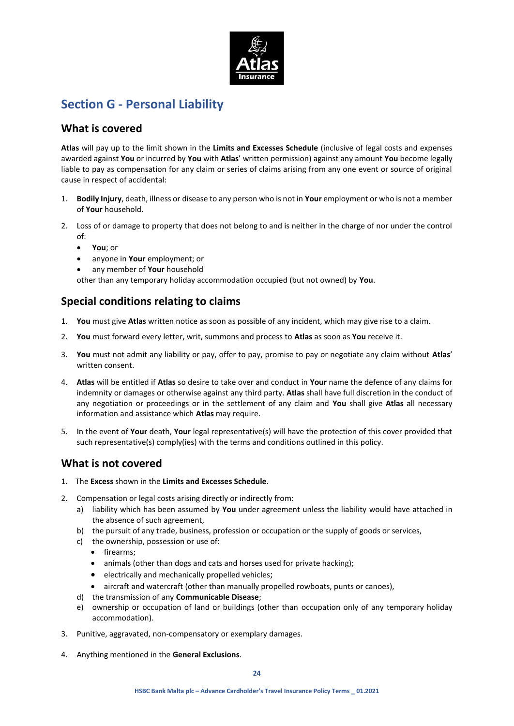

# **Section G - Personal Liability**

## **What is covered**

**Atlas** will pay up to the limit shown in the **Limits and Excesses Schedule** (inclusive of legal costs and expenses awarded against **You** or incurred by **You** with **Atlas**' written permission) against any amount **You** become legally liable to pay as compensation for any claim or series of claims arising from any one event or source of original cause in respect of accidental:

- 1. **Bodily Injury**, death, illness or disease to any person who is not in **Your** employment or who is not a member of **Your** household.
- 2. Loss of or damage to property that does not belong to and is neither in the charge of nor under the control of:
	- **You**; or
	- anyone in **Your** employment; or
	- any member of **Your** household

other than any temporary holiday accommodation occupied (but not owned) by **You**.

# **Special conditions relating to claims**

- 1. **You** must give **Atlas** written notice as soon as possible of any incident, which may give rise to a claim.
- 2. **You** must forward every letter, writ, summons and process to **Atlas** as soon as **You** receive it.
- 3. **You** must not admit any liability or pay, offer to pay, promise to pay or negotiate any claim without **Atlas**' written consent.
- 4. **Atlas** will be entitled if **Atlas** so desire to take over and conduct in **Your** name the defence of any claims for indemnity or damages or otherwise against any third party. **Atlas** shall have full discretion in the conduct of any negotiation or proceedings or in the settlement of any claim and **You** shall give **Atlas** all necessary information and assistance which **Atlas** may require.
- 5. In the event of **Your** death, **Your** legal representative(s) will have the protection of this cover provided that such representative(s) comply(ies) with the terms and conditions outlined in this policy.

# **What is not covered**

- 1. The **Excess** shown in the **Limits and Excesses Schedule**.
- 2. Compensation or legal costs arising directly or indirectly from:
	- a) liability which has been assumed by **You** under agreement unless the liability would have attached in the absence of such agreement,
	- b) the pursuit of any trade, business, profession or occupation or the supply of goods or services,
	- c) the ownership, possession or use of:
		- firearms;
		- animals (other than dogs and cats and horses used for private hacking);
		- electrically and mechanically propelled vehicles;
		- aircraft and watercraft (other than manually propelled rowboats, punts or canoes),
	- d) the transmission of any **Communicable Disease**;
	- e) ownership or occupation of land or buildings (other than occupation only of any temporary holiday accommodation).
- 3. Punitive, aggravated, non-compensatory or exemplary damages.
- 4. Anything mentioned in the **General Exclusions**.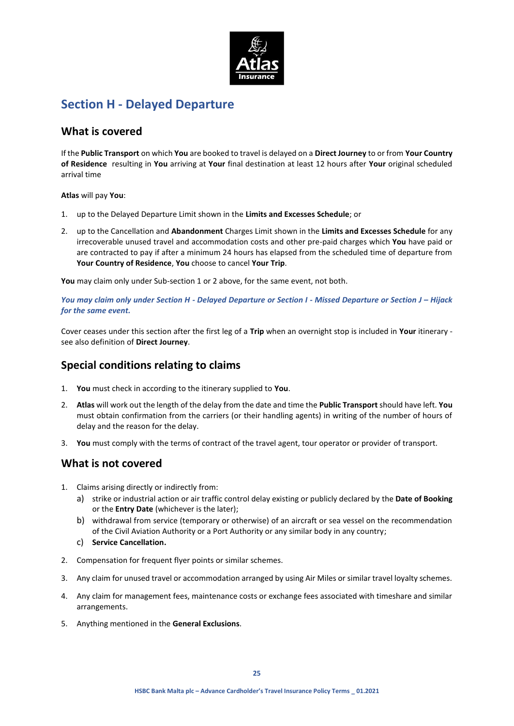

# **Section H - Delayed Departure**

## **What is covered**

If the **Public Transport** on which **You** are booked to travel is delayed on a **Direct Journey** to or from **Your Country of Residence** resulting in **You** arriving at **Your** final destination at least 12 hours after **Your** original scheduled arrival time

### **Atlas** will pay **You**:

- 1. up to the Delayed Departure Limit shown in the **Limits and Excesses Schedule**; or
- 2. up to the Cancellation and **Abandonment** Charges Limit shown in the **Limits and Excesses Schedule** for any irrecoverable unused travel and accommodation costs and other pre-paid charges which **You** have paid or are contracted to pay if after a minimum 24 hours has elapsed from the scheduled time of departure from **Your Country of Residence**, **You** choose to cancel **Your Trip**.

**You** may claim only under Sub-section 1 or 2 above, for the same event, not both.

*You may claim only under Section H - Delayed Departure or Section I - Missed Departure or Section J – Hijack for the same event.*

Cover ceases under this section after the first leg of a **Trip** when an overnight stop is included in **Your** itinerary see also definition of **Direct Journey**.

# **Special conditions relating to claims**

- 1. **You** must check in according to the itinerary supplied to **You**.
- 2. **Atlas** will work out the length of the delay from the date and time the **Public Transport** should have left. **You** must obtain confirmation from the carriers (or their handling agents) in writing of the number of hours of delay and the reason for the delay.
- 3. **You** must comply with the terms of contract of the travel agent, tour operator or provider of transport.

## **What is not covered**

- 1. Claims arising directly or indirectly from:
	- a) strike or industrial action or air traffic control delay existing or publicly declared by the **Date of Booking** or the **Entry Date** (whichever is the later);
	- b) withdrawal from service (temporary or otherwise) of an aircraft or sea vessel on the recommendation of the Civil Aviation Authority or a Port Authority or any similar body in any country;
	- c) **Service Cancellation.**
- 2. Compensation for frequent flyer points or similar schemes.
- 3. Any claim for unused travel or accommodation arranged by using Air Miles or similar travel loyalty schemes.
- 4. Any claim for management fees, maintenance costs or exchange fees associated with timeshare and similar arrangements.
- 5. Anything mentioned in the **General Exclusions**.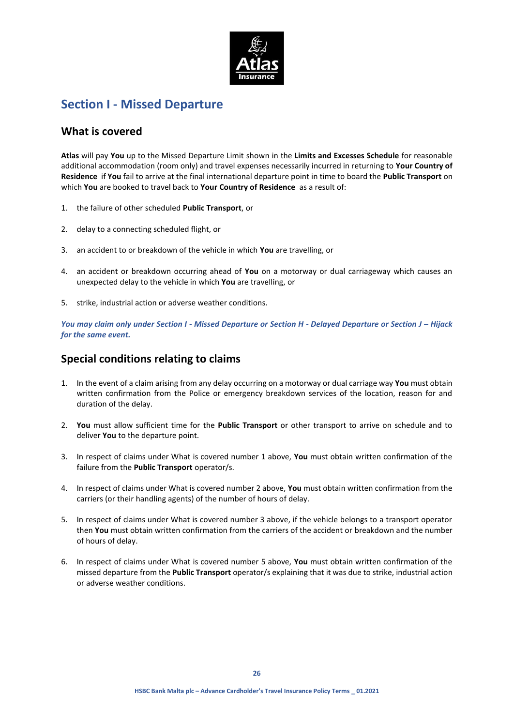

# **Section I - Missed Departure**

## **What is covered**

**Atlas** will pay **You** up to the Missed Departure Limit shown in the **Limits and Excesses Schedule** for reasonable additional accommodation (room only) and travel expenses necessarily incurred in returning to **Your Country of Residence** if **You** fail to arrive at the final international departure point in time to board the **Public Transport** on which **You** are booked to travel back to **Your Country of Residence** as a result of:

- 1. the failure of other scheduled **Public Transport**, or
- 2. delay to a connecting scheduled flight, or
- 3. an accident to or breakdown of the vehicle in which **You** are travelling, or
- 4. an accident or breakdown occurring ahead of **You** on a motorway or dual carriageway which causes an unexpected delay to the vehicle in which **You** are travelling, or
- 5. strike, industrial action or adverse weather conditions.

*You may claim only under Section I - Missed Departure or Section H - Delayed Departure or Section J – Hijack for the same event.*

# **Special conditions relating to claims**

- 1. In the event of a claim arising from any delay occurring on a motorway or dual carriage way **You** must obtain written confirmation from the Police or emergency breakdown services of the location, reason for and duration of the delay.
- 2. **You** must allow sufficient time for the **Public Transport** or other transport to arrive on schedule and to deliver **You** to the departure point.
- 3. In respect of claims under What is covered number 1 above, **You** must obtain written confirmation of the failure from the **Public Transport** operator/s.
- 4. In respect of claims under What is covered number 2 above, **You** must obtain written confirmation from the carriers (or their handling agents) of the number of hours of delay.
- 5. In respect of claims under What is covered number 3 above, if the vehicle belongs to a transport operator then **You** must obtain written confirmation from the carriers of the accident or breakdown and the number of hours of delay.
- 6. In respect of claims under What is covered number 5 above, **You** must obtain written confirmation of the missed departure from the **Public Transport** operator/s explaining that it was due to strike, industrial action or adverse weather conditions.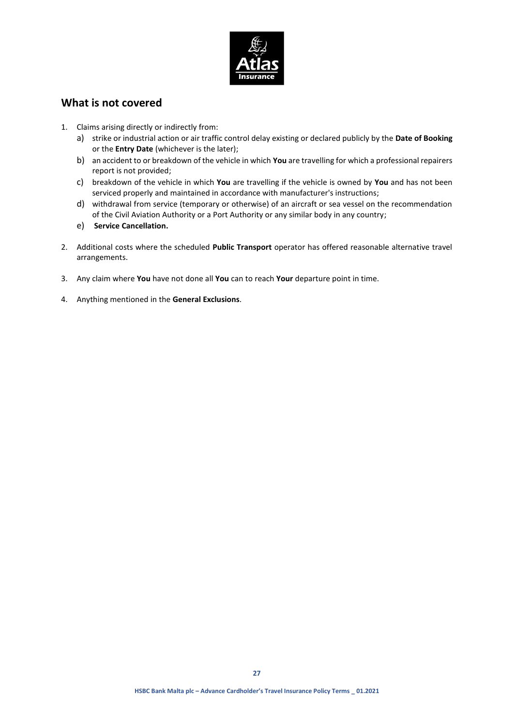

## **What is not covered**

- 1. Claims arising directly or indirectly from:
	- a) strike or industrial action or air traffic control delay existing or declared publicly by the **Date of Booking** or the **Entry Date** (whichever is the later);
	- b) an accident to or breakdown of the vehicle in which **You** are travelling for which a professional repairers report is not provided;
	- c) breakdown of the vehicle in which **You** are travelling if the vehicle is owned by **You** and has not been serviced properly and maintained in accordance with manufacturer's instructions;
	- d) withdrawal from service (temporary or otherwise) of an aircraft or sea vessel on the recommendation of the Civil Aviation Authority or a Port Authority or any similar body in any country;
	- e) **Service Cancellation.**
- 2. Additional costs where the scheduled **Public Transport** operator has offered reasonable alternative travel arrangements.
- 3. Any claim where **You** have not done all **You** can to reach **Your** departure point in time.
- 4. Anything mentioned in the **General Exclusions**.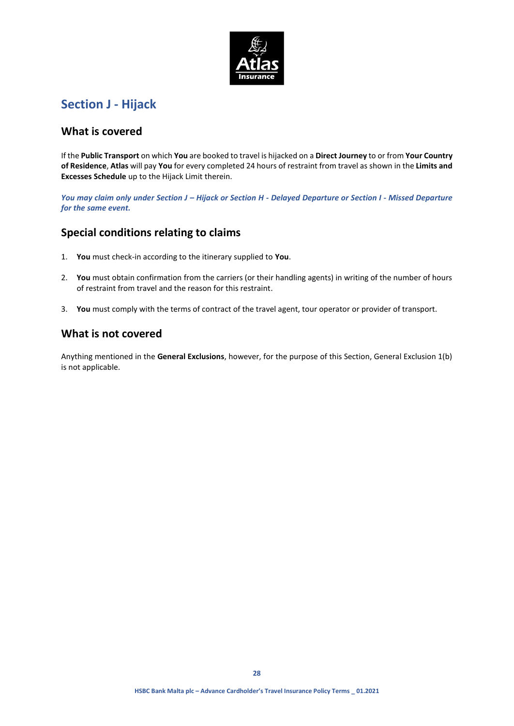

# **Section J - Hijack**

## **What is covered**

If the **Public Transport** on which **You** are booked to travel is hijacked on a **Direct Journey** to or from **Your Country of Residence**, **Atlas** will pay **You** for every completed 24 hours of restraint from travel as shown in the **Limits and Excesses Schedule** up to the Hijack Limit therein.

*You may claim only under Section J – Hijack or Section H - Delayed Departure or Section I - Missed Departure for the same event.*

# **Special conditions relating to claims**

- 1. **You** must check-in according to the itinerary supplied to **You**.
- 2. **You** must obtain confirmation from the carriers (or their handling agents) in writing of the number of hours of restraint from travel and the reason for this restraint.
- 3. **You** must comply with the terms of contract of the travel agent, tour operator or provider of transport.

## **What is not covered**

Anything mentioned in the **General Exclusions**, however, for the purpose of this Section, General Exclusion 1(b) is not applicable.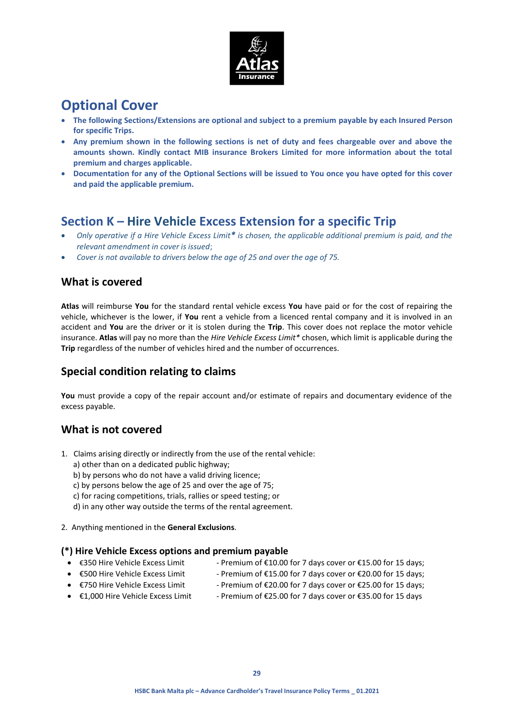

# **Optional Cover**

- **The following Sections/Extensions are optional and subject to a premium payable by each Insured Person for specific Trips.**
- **Any premium shown in the following sections is net of duty and fees chargeable over and above the amounts shown. Kindly contact MIB insurance Brokers Limited for more information about the total premium and charges applicable.**
- **Documentation for any of the Optional Sections will be issued to You once you have opted for this cover and paid the applicable premium.**

# **Section K – Hire Vehicle Excess Extension for a specific Trip**

- *Only operative if a Hire Vehicle Excess Limit\* is chosen, the applicable additional premium is paid, and the relevant amendment in cover is issued*;
- *Cover is not available to drivers below the age of 25 and over the age of 75.*

## **What is covered**

**Atlas** will reimburse **You** for the standard rental vehicle excess **You** have paid or for the cost of repairing the vehicle, whichever is the lower, if **You** rent a vehicle from a licenced rental company and it is involved in an accident and **You** are the driver or it is stolen during the **Trip**. This cover does not replace the motor vehicle insurance. **Atlas** will pay no more than the *Hire Vehicle Excess Limit\** chosen, which limit is applicable during the **Trip** regardless of the number of vehicles hired and the number of occurrences.

# **Special condition relating to claims**

You must provide a copy of the repair account and/or estimate of repairs and documentary evidence of the excess payable.

# **What is not covered**

- 1. Claims arising directly or indirectly from the use of the rental vehicle:
	- a) other than on a dedicated public highway;
	- b) by persons who do not have a valid driving licence;
	- c) by persons below the age of 25 and over the age of 75;
	- c) for racing competitions, trials, rallies or speed testing; or
	- d) in any other way outside the terms of the rental agreement.
- 2. Anything mentioned in the **General Exclusions**.

## **(\*) Hire Vehicle Excess options and premium payable**

- 
- €350 Hire Vehicle Excess Limit Premium of €10.00 for 7 days cover or €15.00 for 15 days;
- 
- 
- $€500$  Hire Vehicle Excess Limit Premium of  $€15.00$  for 7 days cover or  $€20.00$  for 15 days;
- €750 Hire Vehicle Excess Limit Premium of €20.00 for 7 days cover or €25.00 for 15 days;
- 
- €1,000 Hire Vehicle Excess Limit Premium of €25.00 for 7 days cover or €35.00 for 15 days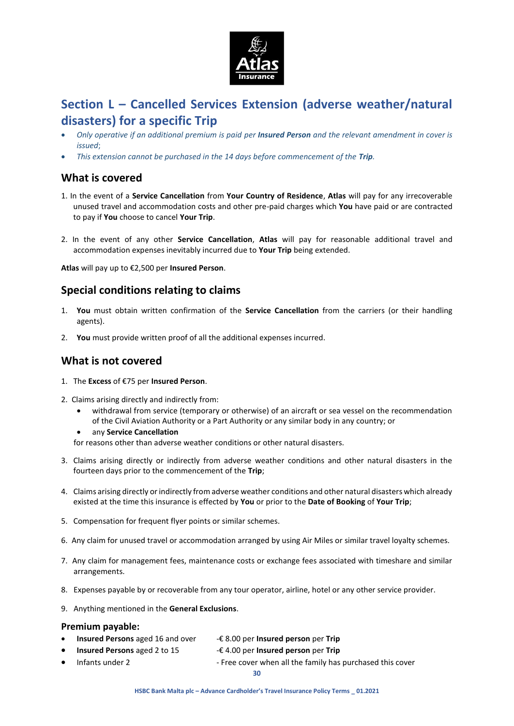

# **Section L – Cancelled Services Extension (adverse weather/natural disasters) for a specific Trip**

- *Only operative if an additional premium is paid per Insured Person and the relevant amendment in cover is issued*;
- *This extension cannot be purchased in the 14 days before commencement of the Trip.*

## **What is covered**

- 1. In the event of a **Service Cancellation** from **Your Country of Residence**, **Atlas** will pay for any irrecoverable unused travel and accommodation costs and other pre-paid charges which **You** have paid or are contracted to pay if **You** choose to cancel **Your Trip**.
- 2. In the event of any other **Service Cancellation**, **Atlas** will pay for reasonable additional travel and accommodation expenses inevitably incurred due to **Your Trip** being extended.

**Atlas** will pay up to €2,500 per **Insured Person**.

## **Special conditions relating to claims**

- 1. **You** must obtain written confirmation of the **Service Cancellation** from the carriers (or their handling agents).
- 2. **You** must provide written proof of all the additional expenses incurred.

## **What is not covered**

- 1. The **Excess** of €75 per **Insured Person**.
- 2. Claims arising directly and indirectly from:
	- withdrawal from service (temporary or otherwise) of an aircraft or sea vessel on the recommendation of the Civil Aviation Authority or a Part Authority or any similar body in any country; or
	- any **Service Cancellation**

for reasons other than adverse weather conditions or other natural disasters.

- 3. Claims arising directly or indirectly from adverse weather conditions and other natural disasters in the fourteen days prior to the commencement of the **Trip**;
- 4. Claims arising directly or indirectly from adverse weather conditions and other natural disasters which already existed at the time this insurance is effected by **You** or prior to the **Date of Booking** of **Your Trip**;
- 5. Compensation for frequent flyer points or similar schemes.
- 6. Any claim for unused travel or accommodation arranged by using Air Miles or similar travel loyalty schemes.
- 7. Any claim for management fees, maintenance costs or exchange fees associated with timeshare and similar arrangements.
- 8. Expenses payable by or recoverable from any tour operator, airline, hotel or any other service provider.
- 9. Anything mentioned in the **General Exclusions**.

## **Premium payable:**

- **Insured Persons** aged 16 and over -€ 8.00 per **Insured person** per **Trip**
	- **Insured Persons** aged 2 to 15 -€ 4.00 per **Insured person** per **Trip**
- 

<sup>•</sup> Infants under 2 - Free cover when all the family has purchased this cover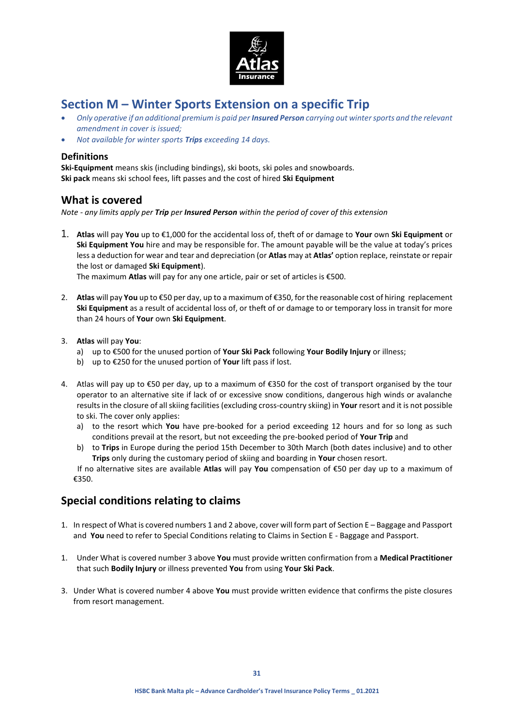

# **Section M – Winter Sports Extension on a specific Trip**

- *Only operative if an additional premium is paid per Insured Person carrying out winter sports and the relevant amendment in cover is issued;*
- *Not available for winter sports Trips exceeding 14 days.*

## **Definitions**

**Ski-Equipment** means skis (including bindings), ski boots, ski poles and snowboards. **Ski pack** means ski school fees, lift passes and the cost of hired **Ski Equipment**

## **What is covered**

*Note - any limits apply per Trip per Insured Person within the period of cover of this extension*

1. **Atlas** will pay **You** up to €1,000 for the accidental loss of, theft of or damage to **Your** own **Ski Equipment** or **Ski Equipment You** hire and may be responsible for. The amount payable will be the value at today's prices less a deduction for wear and tear and depreciation (or **Atlas** may at **Atlas'** option replace, reinstate or repair the lost or damaged **Ski Equipment**).

The maximum **Atlas** will pay for any one article, pair or set of articles is €500.

- 2. **Atlas** will pay **You** up to €50 per day, up to a maximum of €350, for the reasonable cost of hiring replacement **Ski Equipment** as a result of accidental loss of, or theft of or damage to or temporary loss in transit for more than 24 hours of **Your** own **Ski Equipment**.
- 3. **Atlas** will pay **You**:
	- a) up to €500 for the unused portion of **Your Ski Pack** following **Your Bodily Injury** or illness;
	- b) up to €250 for the unused portion of **Your** lift pass if lost.
- 4. Atlas will pay up to €50 per day, up to a maximum of €350 for the cost of transport organised by the tour operator to an alternative site if lack of or excessive snow conditions, dangerous high winds or avalanche results in the closure of all skiing facilities (excluding cross-country skiing) in **Your** resort and it is not possible to ski. The cover only applies:
	- a) to the resort which **You** have pre-booked for a period exceeding 12 hours and for so long as such conditions prevail at the resort, but not exceeding the pre-booked period of **Your Trip** and
	- b) to **Trips** in Europe during the period 15th December to 30th March (both dates inclusive) and to other **Trips** only during the customary period of skiing and boarding in **Your** chosen resort.

If no alternative sites are available **Atlas** will pay **You** compensation of €50 per day up to a maximum of €350.

# **Special conditions relating to claims**

- 1. In respect of What is covered numbers 1 and 2 above, cover will form part of Section E Baggage and Passport and **You** need to refer to Special Conditions relating to Claims in Section E - Baggage and Passport.
- 1. Under What is covered number 3 above **You** must provide written confirmation from a **Medical Practitioner**  that such **Bodily Injury** or illness prevented **You** from using **Your Ski Pack**.
- 3. Under What is covered number 4 above **You** must provide written evidence that confirms the piste closures from resort management.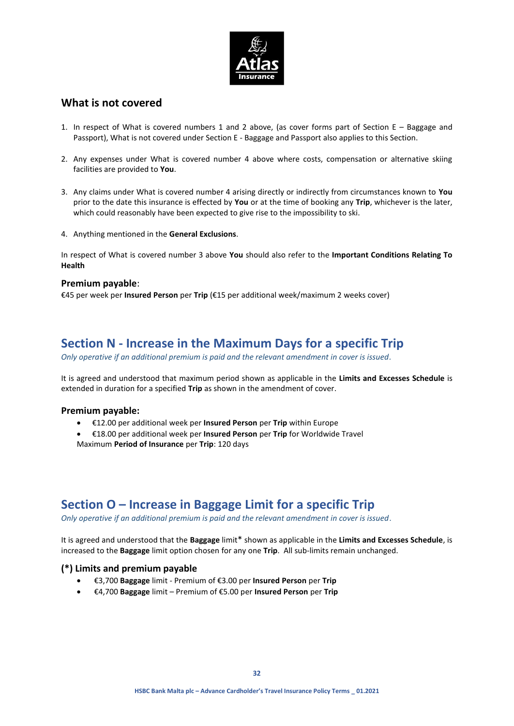

## **What is not covered**

- 1. In respect of What is covered numbers 1 and 2 above, (as cover forms part of Section E Baggage and Passport), What is not covered under Section E - Baggage and Passport also applies to this Section.
- 2. Any expenses under What is covered number 4 above where costs, compensation or alternative skiing facilities are provided to **You**.
- 3. Any claims under What is covered number 4 arising directly or indirectly from circumstances known to **You**  prior to the date this insurance is effected by **You** or at the time of booking any **Trip**, whichever is the later, which could reasonably have been expected to give rise to the impossibility to ski.
- 4. Anything mentioned in the **General Exclusions**.

In respect of What is covered number 3 above **You** should also refer to the **Important Conditions Relating To Health**

### **Premium payable**:

€45 per week per **Insured Person** per **Trip** (€15 per additional week/maximum 2 weeks cover)

# **Section N - Increase in the Maximum Days for a specific Trip**

*Only operative if an additional premium is paid and the relevant amendment in cover is issued.*

It is agreed and understood that maximum period shown as applicable in the **Limits and Excesses Schedule** is extended in duration for a specified **Trip** as shown in the amendment of cover.

### **Premium payable:**

- €12.00 per additional week per **Insured Person** per **Trip** within Europe
- €18.00 per additional week per **Insured Person** per **Trip** for Worldwide Travel Maximum **Period of Insurance** per **Trip**: 120 days

# **Section O – Increase in Baggage Limit for a specific Trip**

*Only operative if an additional premium is paid and the relevant amendment in cover is issued*.

It is agreed and understood that the **Baggage** limit\* shown as applicable in the **Limits and Excesses Schedule**, is increased to the **Baggage** limit option chosen for any one **Trip**.All sub-limits remain unchanged.

## **(\*) Limits and premium payable**

- €3,700 **Baggage** limit Premium of €3.00 per **Insured Person** per **Trip**
- €4,700 **Baggage** limit Premium of €5.00 per **Insured Person** per **Trip**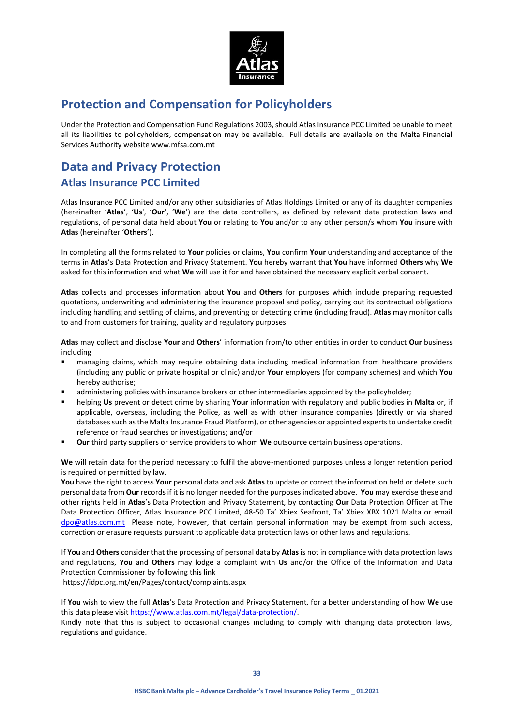

# **Protection and Compensation for Policyholders**

Under the Protection and Compensation Fund Regulations 2003, should Atlas Insurance PCC Limited be unable to meet all its liabilities to policyholders, compensation may be available. Full details are available on the Malta Financial Services Authority website www.mfsa.com.mt

# **Data and Privacy Protection Atlas Insurance PCC Limited**

Atlas Insurance PCC Limited and/or any other subsidiaries of Atlas Holdings Limited or any of its daughter companies (hereinafter '**Atlas**', '**Us**', '**Our**', '**We**') are the data controllers, as defined by relevant data protection laws and regulations, of personal data held about **You** or relating to **You** and/or to any other person/s whom **You** insure with **Atlas** (hereinafter '**Others**').

In completing all the forms related to **Your** policies or claims, **You** confirm **Your** understanding and acceptance of the terms in **Atlas**'s Data Protection and Privacy Statement. **You** hereby warrant that **You** have informed **Others** why **We** asked for this information and what **We** will use it for and have obtained the necessary explicit verbal consent.

**Atlas** collects and processes information about **You** and **Others** for purposes which include preparing requested quotations, underwriting and administering the insurance proposal and policy, carrying out its contractual obligations including handling and settling of claims, and preventing or detecting crime (including fraud). **Atlas** may monitor calls to and from customers for training, quality and regulatory purposes.

**Atlas** may collect and disclose **Your** and **Others**' information from/to other entities in order to conduct **Our** business including

- managing claims, which may require obtaining data including medical information from healthcare providers (including any public or private hospital or clinic) and/or **Your** employers (for company schemes) and which **You** hereby authorise;
- administering policies with insurance brokers or other intermediaries appointed by the policyholder;
- helping **Us** prevent or detect crime by sharing **Your** information with regulatory and public bodies in **Malta** or, if applicable, overseas, including the Police, as well as with other insurance companies (directly or via shared databases such as the Malta Insurance Fraud Platform), or other agencies or appointed experts to undertake credit reference or fraud searches or investigations; and/or
- **Our** third party suppliers or service providers to whom **We** outsource certain business operations.

**We** will retain data for the period necessary to fulfil the above-mentioned purposes unless a longer retention period is required or permitted by law.

**You** have the right to access **Your** personal data and ask **Atlas** to update or correct the information held or delete such personal data from **Our** records if it is no longer needed for the purposes indicated above. **You** may exercise these and other rights held in **Atlas**'s Data Protection and Privacy Statement, by contacting **Our** Data Protection Officer at The Data Protection Officer, Atlas Insurance PCC Limited, 48-50 Ta' Xbiex Seafront, Ta' Xbiex XBX 1021 Malta or email [dpo@atlas.com.mt](mailto:dpo@atlas.com.mt) Please note, however, that certain personal information may be exempt from such access, correction or erasure requests pursuant to applicable data protection laws or other laws and regulations.

If **You** and **Others** consider that the processing of personal data by **Atlas** is not in compliance with data protection laws and regulations, **You** and **Others** may lodge a complaint with **Us** and/or the Office of the Information and Data Protection Commissioner by following this link

<https://idpc.org.mt/en/Pages/contact/complaints.aspx>

If **You** wish to view the full **Atlas**'s Data Protection and Privacy Statement, for a better understanding of how **We** use this data please visi[t https://www.atlas.com.mt/legal/data-protection/.](https://www.atlas.com.mt/legal/data-protection/)

Kindly note that this is subject to occasional changes including to comply with changing data protection laws, regulations and guidance.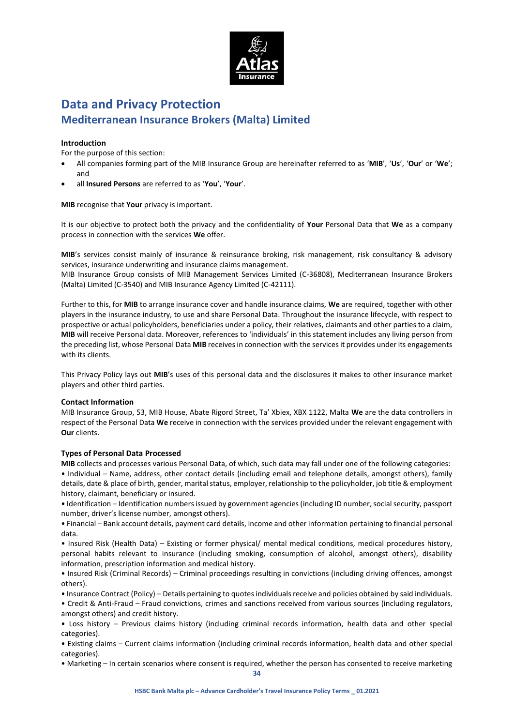

# **Data and Privacy Protection Mediterranean Insurance Brokers (Malta) Limited**

### **Introduction**

For the purpose of this section:

- All companies forming part of the MIB Insurance Group are hereinafter referred to as '**MIB**', '**Us**', '**Our**' or '**We**'; and
- all **Insured Persons** are referred to as '**You**', '**Your**'.

**MIB** recognise that **Your** privacy is important.

It is our objective to protect both the privacy and the confidentiality of **Your** Personal Data that **We** as a company process in connection with the services **We** offer.

**MIB**'s services consist mainly of insurance & reinsurance broking, risk management, risk consultancy & advisory services, insurance underwriting and insurance claims management.

MIB Insurance Group consists of MIB Management Services Limited (C-36808), Mediterranean Insurance Brokers (Malta) Limited (C-3540) and MIB Insurance Agency Limited (C-42111).

Further to this, for **MIB** to arrange insurance cover and handle insurance claims, **We** are required, together with other players in the insurance industry, to use and share Personal Data. Throughout the insurance lifecycle, with respect to prospective or actual policyholders, beneficiaries under a policy, their relatives, claimants and other parties to a claim, **MIB** will receive Personal data. Moreover, references to 'individuals' in this statement includes any living person from the preceding list, whose Personal Data **MIB** receives in connection with the services it provides under its engagements with its clients.

This Privacy Policy lays out **MIB**'s uses of this personal data and the disclosures it makes to other insurance market players and other third parties.

#### **Contact Information**

MIB Insurance Group, 53, MIB House, Abate Rigord Street, Ta' Xbiex, XBX 1122, Malta **We** are the data controllers in respect of the Personal Data **We** receive in connection with the services provided under the relevant engagement with **Our** clients.

#### **Types of Personal Data Processed**

**MIB** collects and processes various Personal Data, of which, such data may fall under one of the following categories: • Individual – Name, address, other contact details (including email and telephone details, amongst others), family details, date & place of birth, gender, marital status, employer, relationship to the policyholder, job title & employment history, claimant, beneficiary or insured.

• Identification – Identification numbers issued by government agencies (including ID number, social security, passport number, driver's license number, amongst others).

• Financial – Bank account details, payment card details, income and other information pertaining to financial personal data.

• Insured Risk (Health Data) – Existing or former physical/ mental medical conditions, medical procedures history, personal habits relevant to insurance (including smoking, consumption of alcohol, amongst others), disability information, prescription information and medical history.

• Insured Risk (Criminal Records) – Criminal proceedings resulting in convictions (including driving offences, amongst others).

• Insurance Contract (Policy) – Details pertaining to quotes individuals receive and policies obtained by said individuals. • Credit & Anti-Fraud – Fraud convictions, crimes and sanctions received from various sources (including regulators, amongst others) and credit history.

• Loss history – Previous claims history (including criminal records information, health data and other special categories).

• Existing claims – Current claims information (including criminal records information, health data and other special categories).

• Marketing – In certain scenarios where consent is required, whether the person has consented to receive marketing

**34**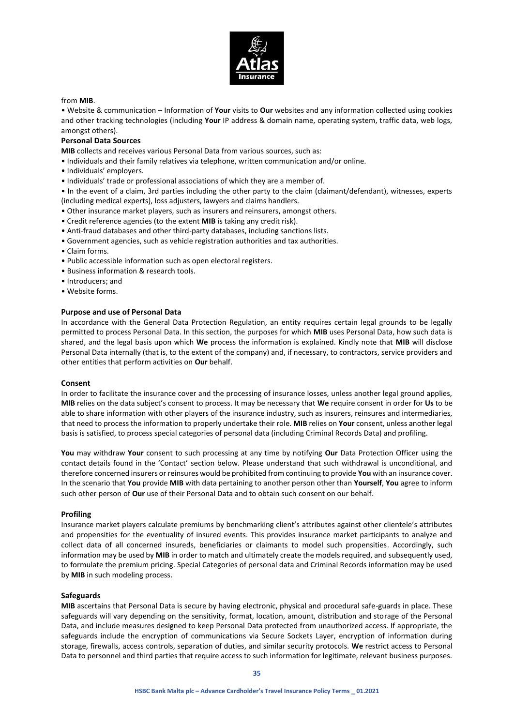

#### from **MIB**.

• Website & communication – Information of **Your** visits to **Our** websites and any information collected using cookies and other tracking technologies (including **Your** IP address & domain name, operating system, traffic data, web logs, amongst others).

### **Personal Data Sources**

**MIB** collects and receives various Personal Data from various sources, such as:

- Individuals and their family relatives via telephone, written communication and/or online.
- Individuals' employers.
- Individuals' trade or professional associations of which they are a member of.

• In the event of a claim, 3rd parties including the other party to the claim (claimant/defendant), witnesses, experts (including medical experts), loss adjusters, lawyers and claims handlers.

- Other insurance market players, such as insurers and reinsurers, amongst others.
- Credit reference agencies (to the extent **MIB** is taking any credit risk).
- Anti-fraud databases and other third-party databases, including sanctions lists.
- Government agencies, such as vehicle registration authorities and tax authorities.
- Claim forms.
- Public accessible information such as open electoral registers.
- Business information & research tools.
- Introducers; and
- Website forms.

#### **Purpose and use of Personal Data**

In accordance with the General Data Protection Regulation, an entity requires certain legal grounds to be legally permitted to process Personal Data. In this section, the purposes for which **MIB** uses Personal Data, how such data is shared, and the legal basis upon which **We** process the information is explained. Kindly note that **MIB** will disclose Personal Data internally (that is, to the extent of the company) and, if necessary, to contractors, service providers and other entities that perform activities on **Our** behalf.

#### **Consent**

In order to facilitate the insurance cover and the processing of insurance losses, unless another legal ground applies, **MIB** relies on the data subject's consent to process. It may be necessary that **We** require consent in order for **Us** to be able to share information with other players of the insurance industry, such as insurers, reinsures and intermediaries, that need to process the information to properly undertake their role. **MIB** relies on **Your** consent, unless another legal basis is satisfied, to process special categories of personal data (including Criminal Records Data) and profiling.

**You** may withdraw **Your** consent to such processing at any time by notifying **Our** Data Protection Officer using the contact details found in the 'Contact' section below. Please understand that such withdrawal is unconditional, and therefore concerned insurers or reinsures would be prohibited from continuing to provide **You** with an insurance cover. In the scenario that **You** provide **MIB** with data pertaining to another person other than **Yourself**, **You** agree to inform such other person of **Our** use of their Personal Data and to obtain such consent on our behalf.

#### **Profiling**

Insurance market players calculate premiums by benchmarking client's attributes against other clientele's attributes and propensities for the eventuality of insured events. This provides insurance market participants to analyze and collect data of all concerned insureds, beneficiaries or claimants to model such propensities. Accordingly, such information may be used by **MIB** in order to match and ultimately create the models required, and subsequently used, to formulate the premium pricing. Special Categories of personal data and Criminal Records information may be used by **MIB** in such modeling process.

#### **Safeguards**

**MIB** ascertains that Personal Data is secure by having electronic, physical and procedural safe-guards in place. These safeguards will vary depending on the sensitivity, format, location, amount, distribution and storage of the Personal Data, and include measures designed to keep Personal Data protected from unauthorized access. If appropriate, the safeguards include the encryption of communications via Secure Sockets Layer, encryption of information during storage, firewalls, access controls, separation of duties, and similar security protocols. **We** restrict access to Personal Data to personnel and third parties that require access to such information for legitimate, relevant business purposes.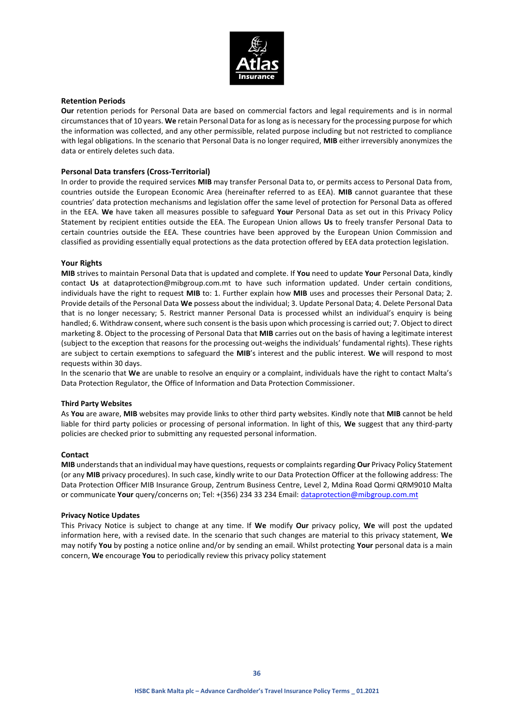

### **Retention Periods**

**Our** retention periods for Personal Data are based on commercial factors and legal requirements and is in normal circumstances that of 10 years. **We** retain Personal Data for as long as is necessary for the processing purpose for which the information was collected, and any other permissible, related purpose including but not restricted to compliance with legal obligations. In the scenario that Personal Data is no longer required, **MIB** either irreversibly anonymizes the data or entirely deletes such data.

### **Personal Data transfers (Cross-Territorial)**

In order to provide the required services **MIB** may transfer Personal Data to, or permits access to Personal Data from, countries outside the European Economic Area (hereinafter referred to as EEA). **MIB** cannot guarantee that these countries' data protection mechanisms and legislation offer the same level of protection for Personal Data as offered in the EEA. **We** have taken all measures possible to safeguard **Your** Personal Data as set out in this Privacy Policy Statement by recipient entities outside the EEA. The European Union allows **Us** to freely transfer Personal Data to certain countries outside the EEA. These countries have been approved by the European Union Commission and classified as providing essentially equal protections as the data protection offered by EEA data protection legislation.

#### **Your Rights**

**MIB** strives to maintain Personal Data that is updated and complete. If **You** need to update **Your** Personal Data, kindly contact **Us** at dataprotection@mibgroup.com.mt to have such information updated. Under certain conditions, individuals have the right to request **MIB** to: 1. Further explain how **MIB** uses and processes their Personal Data; 2. Provide details of the Personal Data **We** possess about the individual; 3. Update Personal Data; 4. Delete Personal Data that is no longer necessary; 5. Restrict manner Personal Data is processed whilst an individual's enquiry is being handled; 6. Withdraw consent, where such consent is the basis upon which processing is carried out; 7. Object to direct marketing 8. Object to the processing of Personal Data that **MIB** carries out on the basis of having a legitimate interest (subject to the exception that reasons for the processing out-weighs the individuals' fundamental rights). These rights are subject to certain exemptions to safeguard the **MIB**'s interest and the public interest. **We** will respond to most requests within 30 days.

In the scenario that **We** are unable to resolve an enquiry or a complaint, individuals have the right to contact Malta's Data Protection Regulator, the Office of Information and Data Protection Commissioner.

#### **Third Party Websites**

As **You** are aware, **MIB** websites may provide links to other third party websites. Kindly note that **MIB** cannot be held liable for third party policies or processing of personal information. In light of this, **We** suggest that any third-party policies are checked prior to submitting any requested personal information.

#### **Contact**

**MIB** understands that an individual may have questions, requests or complaints regarding **Our** Privacy Policy Statement (or any **MIB** privacy procedures). In such case, kindly write to our Data Protection Officer at the following address: The Data Protection Officer MIB Insurance Group, Zentrum Business Centre, Level 2, Mdina Road Qormi QRM9010 Malta or communicate **Your** query/concerns on; Tel: +(356) 234 33 234 Email[: dataprotection@mibgroup.com.mt](mailto:dataprotection@mibgroup.com.mt)

#### **Privacy Notice Updates**

This Privacy Notice is subject to change at any time. If **We** modify **Our** privacy policy, **We** will post the updated information here, with a revised date. In the scenario that such changes are material to this privacy statement, **We** may notify **You** by posting a notice online and/or by sending an email. Whilst protecting **Your** personal data is a main concern, **We** encourage **You** to periodically review this privacy policy statement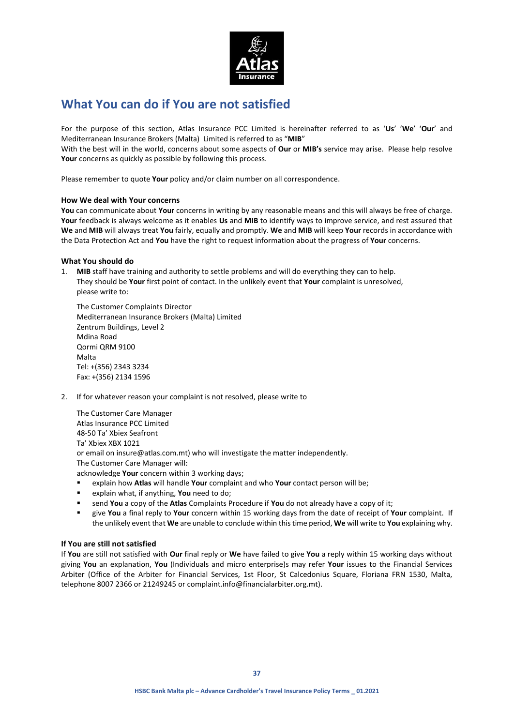

# **What You can do if You are not satisfied**

For the purpose of this section, Atlas Insurance PCC Limited is hereinafter referred to as '**Us**' '**We**' '**Our**' and Mediterranean Insurance Brokers (Malta) Limited is referred to as "**MIB**"

With the best will in the world, concerns about some aspects of **Our** or **MIB's** service may arise. Please help resolve Your concerns as quickly as possible by following this process.

Please remember to quote **Your** policy and/or claim number on all correspondence.

### **How We deal with Your concerns**

**You** can communicate about **Your** concerns in writing by any reasonable means and this will always be free of charge. **Your** feedback is always welcome as it enables **Us** and **MIB** to identify ways to improve service, and rest assured that **We** and **MIB** will always treat **You** fairly, equally and promptly. **We** and **MIB** will keep **Your** records in accordance with the Data Protection Act and **You** have the right to request information about the progress of **Your** concerns.

### **What You should do**

1. **MIB** staff have training and authority to settle problems and will do everything they can to help. They should be **Your** first point of contact. In the unlikely event that **Your** complaint is unresolved, please write to:

The Customer Complaints Director Mediterranean Insurance Brokers (Malta) Limited Zentrum Buildings, Level 2 Mdina Road Qormi QRM 9100 Malta Tel: +(356) 2343 3234 Fax: +(356) 2134 1596

2. If for whatever reason your complaint is not resolved, please write to

The Customer Care Manager Atlas Insurance PCC Limited 48-50 Ta' Xbiex Seafront Ta' Xbiex XBX 1021 or email on insure@atlas.com.mt) who will investigate the matter independently. The Customer Care Manager will: acknowledge **Your** concern within 3 working days;

- explain how **Atlas** will handle **Your** complaint and who **Your** contact person will be;
- explain what, if anything, **You** need to do;
- send **You** a copy of the **Atlas** Complaints Procedure if **You** do not already have a copy of it;
- give **You** a final reply to **Your** concern within 15 working days from the date of receipt of **Your** complaint. If the unlikely event that **We** are unable to conclude within this time period, **We** will write to **You** explaining why.

#### **If You are still not satisfied**

If **You** are still not satisfied with **Our** final reply or **We** have failed to give **You** a reply within 15 working days without giving **You** an explanation, **You** (Individuals and micro enterprise)s may refer **Your** issues to the Financial Services Arbiter (Office of the Arbiter for Financial Services, 1st Floor, St Calcedonius Square, Floriana FRN 1530, Malta, telephone 8007 2366 or 21249245 or complaint.info@financialarbiter.org.mt).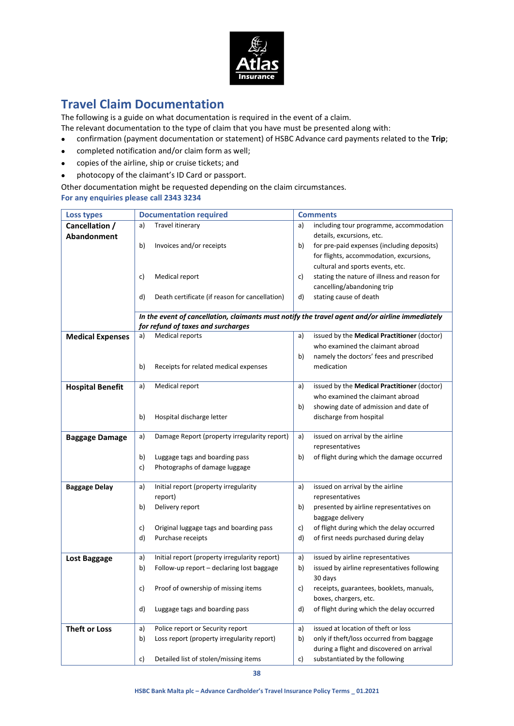

# **Travel Claim Documentation**

The following is a guide on what documentation is required in the event of a claim.

The relevant documentation to the type of claim that you have must be presented along with:

- confirmation (payment documentation or statement) of HSBC Advance card payments related to the **Trip**;
- completed notification and/or claim form as well;
- copies of the airline, ship or cruise tickets; and
- photocopy of the claimant's ID Card or passport.

Other documentation might be requested depending on the claim circumstances. **For any enquiries please call 2343 3234**

| <b>Loss types</b>       | <b>Documentation required</b>                        | <b>Comments</b>                                                                                 |
|-------------------------|------------------------------------------------------|-------------------------------------------------------------------------------------------------|
| Cancellation /          | Travel itinerary<br>a)                               | including tour programme, accommodation<br>a)                                                   |
| Abandonment             |                                                      | details, excursions, etc.                                                                       |
|                         | b)<br>Invoices and/or receipts                       | for pre-paid expenses (including deposits)<br>b)                                                |
|                         |                                                      | for flights, accommodation, excursions,                                                         |
|                         |                                                      | cultural and sports events, etc.                                                                |
|                         | Medical report<br>c)                                 | stating the nature of illness and reason for<br>C)                                              |
|                         |                                                      | cancelling/abandoning trip                                                                      |
|                         | Death certificate (if reason for cancellation)<br>d) | stating cause of death<br>d)                                                                    |
|                         |                                                      |                                                                                                 |
|                         |                                                      | In the event of cancellation, claimants must notify the travel agent and/or airline immediately |
|                         | for refund of taxes and surcharges                   |                                                                                                 |
| <b>Medical Expenses</b> | Medical reports<br>a)                                | issued by the Medical Practitioner (doctor)<br>a)                                               |
|                         |                                                      | who examined the claimant abroad                                                                |
|                         |                                                      | namely the doctors' fees and prescribed<br>b)                                                   |
|                         | b)<br>Receipts for related medical expenses          | medication                                                                                      |
|                         | Medical report<br>a)                                 | issued by the Medical Practitioner (doctor)<br>a)                                               |
| <b>Hospital Benefit</b> |                                                      | who examined the claimant abroad                                                                |
|                         |                                                      |                                                                                                 |
|                         |                                                      | showing date of admission and date of<br>b)                                                     |
|                         | b)<br>Hospital discharge letter                      | discharge from hospital                                                                         |
| <b>Baggage Damage</b>   | Damage Report (property irregularity report)<br>a)   | issued on arrival by the airline<br>a)                                                          |
|                         |                                                      | representatives                                                                                 |
|                         | b)<br>Luggage tags and boarding pass                 | b)<br>of flight during which the damage occurred                                                |
|                         | Photographs of damage luggage<br>c)                  |                                                                                                 |
|                         |                                                      |                                                                                                 |
| <b>Baggage Delay</b>    | Initial report (property irregularity<br>a)          | issued on arrival by the airline<br>a)                                                          |
|                         | report)                                              | representatives                                                                                 |
|                         | b)<br>Delivery report                                | presented by airline representatives on<br>b)                                                   |
|                         |                                                      | baggage delivery                                                                                |
|                         | Original luggage tags and boarding pass<br>C)        | of flight during which the delay occurred<br>c)                                                 |
|                         | d)<br>Purchase receipts                              | d)<br>of first needs purchased during delay                                                     |
|                         |                                                      |                                                                                                 |
| Lost Baggage            | Initial report (property irregularity report)<br>a)  | issued by airline representatives<br>a)                                                         |
|                         | b)<br>Follow-up report - declaring lost baggage      | issued by airline representatives following<br>b)                                               |
|                         |                                                      | 30 days                                                                                         |
|                         | Proof of ownership of missing items<br>c)            | receipts, guarantees, booklets, manuals,<br>c)                                                  |
|                         |                                                      | boxes, chargers, etc.                                                                           |
|                         | d)<br>Luggage tags and boarding pass                 | of flight during which the delay occurred<br>d)                                                 |
| <b>Theft or Loss</b>    | Police report or Security report<br>a)               | issued at location of theft or loss<br>a)                                                       |
|                         | Loss report (property irregularity report)<br>b)     | only if theft/loss occurred from baggage<br>b)                                                  |
|                         |                                                      | during a flight and discovered on arrival                                                       |
|                         |                                                      | substantiated by the following                                                                  |